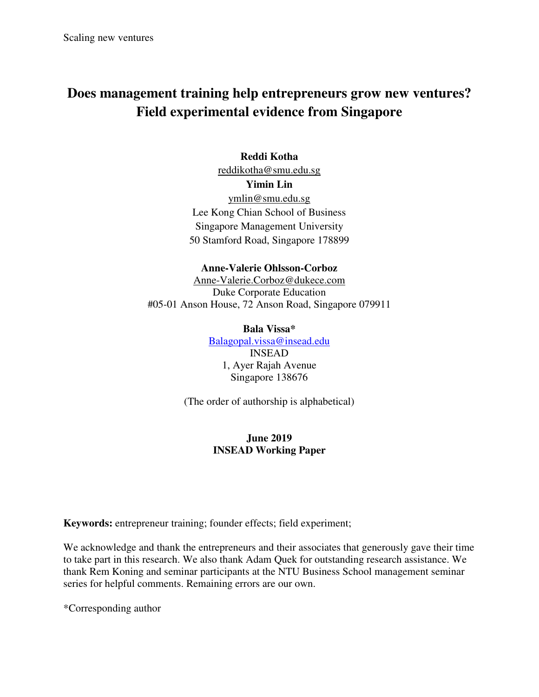# **Does management training help entrepreneurs grow new ventures? Field experimental evidence from Singapore**

## **Reddi Kotha**

[reddikotha@smu.edu.sg](mailto:reddikotha@smu.edu.sg) 

**Yimin Lin** 

[ymlin@smu.edu.sg](mailto:ymlin@smu.edu.sg)  Lee Kong Chian School of Business Singapore Management University 50 Stamford Road, Singapore 178899

### **Anne-Valerie Ohlsson-Corboz**

[Anne-Valerie.Corboz@dukece.com](mailto:Anne-Valerie.Corboz@dukece.com)  Duke Corporate Education #05-01 Anson House, 72 Anson Road, Singapore 079911

### **Bala Vissa\***

Balagopal.vissa@insead.edu INSEAD 1, Ayer Rajah Avenue Singapore 138676

(The order of authorship is alphabetical)

## **June 2019 INSEAD Working Paper**

**Keywords:** entrepreneur training; founder effects; field experiment;

We acknowledge and thank the entrepreneurs and their associates that generously gave their time to take part in this research. We also thank Adam Quek for outstanding research assistance. We thank Rem Koning and seminar participants at the NTU Business School management seminar series for helpful comments. Remaining errors are our own.

\*Corresponding author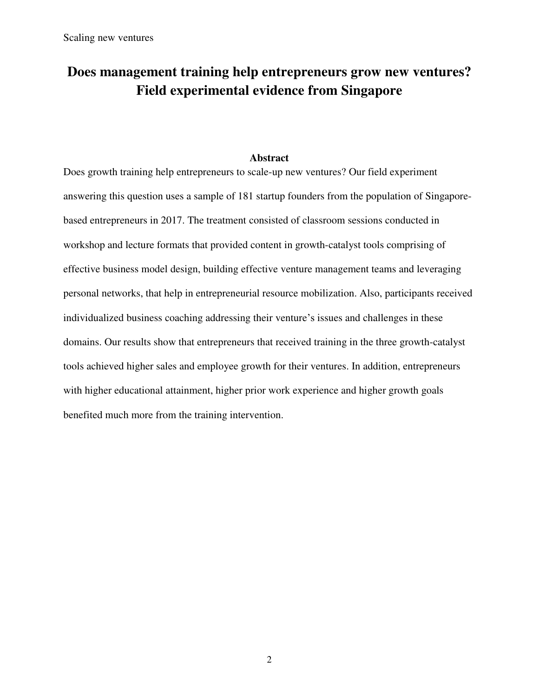# **Does management training help entrepreneurs grow new ventures? Field experimental evidence from Singapore**

### **Abstract**

Does growth training help entrepreneurs to scale-up new ventures? Our field experiment answering this question uses a sample of 181 startup founders from the population of Singaporebased entrepreneurs in 2017. The treatment consisted of classroom sessions conducted in workshop and lecture formats that provided content in growth-catalyst tools comprising of effective business model design, building effective venture management teams and leveraging personal networks, that help in entrepreneurial resource mobilization. Also, participants received individualized business coaching addressing their venture's issues and challenges in these domains. Our results show that entrepreneurs that received training in the three growth-catalyst tools achieved higher sales and employee growth for their ventures. In addition, entrepreneurs with higher educational attainment, higher prior work experience and higher growth goals benefited much more from the training intervention.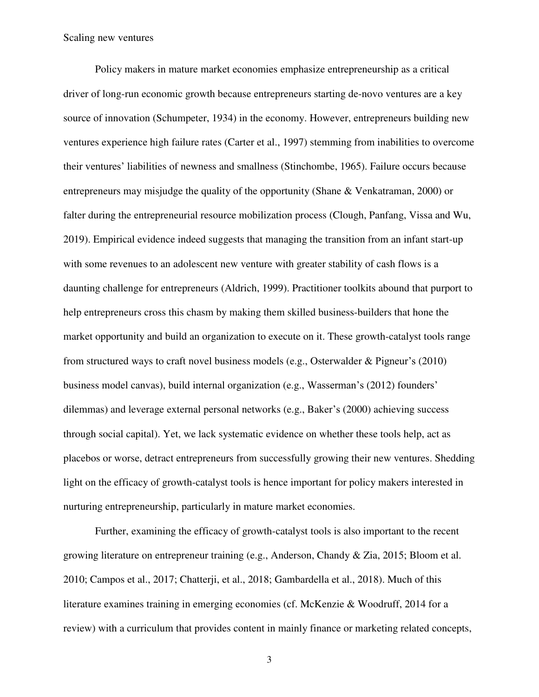Policy makers in mature market economies emphasize entrepreneurship as a critical driver of long-run economic growth because entrepreneurs starting de-novo ventures are a key source of innovation (Schumpeter, 1934) in the economy. However, entrepreneurs building new ventures experience high failure rates (Carter et al., 1997) stemming from inabilities to overcome their ventures' liabilities of newness and smallness (Stinchombe, 1965). Failure occurs because entrepreneurs may misjudge the quality of the opportunity (Shane & Venkatraman, 2000) or falter during the entrepreneurial resource mobilization process (Clough, Panfang, Vissa and Wu, 2019). Empirical evidence indeed suggests that managing the transition from an infant start-up with some revenues to an adolescent new venture with greater stability of cash flows is a daunting challenge for entrepreneurs (Aldrich, 1999). Practitioner toolkits abound that purport to help entrepreneurs cross this chasm by making them skilled business-builders that hone the market opportunity and build an organization to execute on it. These growth-catalyst tools range from structured ways to craft novel business models (e.g., Osterwalder & Pigneur's (2010) business model canvas), build internal organization (e.g., Wasserman's (2012) founders' dilemmas) and leverage external personal networks (e.g., Baker's (2000) achieving success through social capital). Yet, we lack systematic evidence on whether these tools help, act as placebos or worse, detract entrepreneurs from successfully growing their new ventures. Shedding light on the efficacy of growth-catalyst tools is hence important for policy makers interested in nurturing entrepreneurship, particularly in mature market economies.

Further, examining the efficacy of growth-catalyst tools is also important to the recent growing literature on entrepreneur training (e.g., Anderson, Chandy & Zia, 2015; Bloom et al. 2010; Campos et al., 2017; Chatterji, et al., 2018; Gambardella et al., 2018). Much of this literature examines training in emerging economies (cf. McKenzie & Woodruff, 2014 for a review) with a curriculum that provides content in mainly finance or marketing related concepts,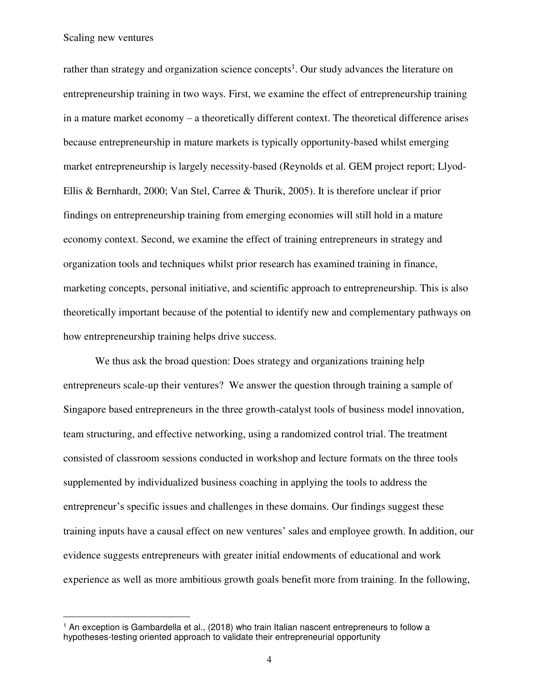$\overline{a}$ 

rather than strategy and organization science concepts<sup>1</sup>. Our study advances the literature on entrepreneurship training in two ways. First, we examine the effect of entrepreneurship training in a mature market economy – a theoretically different context. The theoretical difference arises because entrepreneurship in mature markets is typically opportunity-based whilst emerging market entrepreneurship is largely necessity-based (Reynolds et al. GEM project report; Llyod-Ellis & Bernhardt, 2000; Van Stel, Carree & Thurik, 2005). It is therefore unclear if prior findings on entrepreneurship training from emerging economies will still hold in a mature economy context. Second, we examine the effect of training entrepreneurs in strategy and organization tools and techniques whilst prior research has examined training in finance, marketing concepts, personal initiative, and scientific approach to entrepreneurship. This is also theoretically important because of the potential to identify new and complementary pathways on how entrepreneurship training helps drive success.

We thus ask the broad question: Does strategy and organizations training help entrepreneurs scale-up their ventures? We answer the question through training a sample of Singapore based entrepreneurs in the three growth-catalyst tools of business model innovation, team structuring, and effective networking, using a randomized control trial. The treatment consisted of classroom sessions conducted in workshop and lecture formats on the three tools supplemented by individualized business coaching in applying the tools to address the entrepreneur's specific issues and challenges in these domains. Our findings suggest these training inputs have a causal effect on new ventures' sales and employee growth. In addition, our evidence suggests entrepreneurs with greater initial endowments of educational and work experience as well as more ambitious growth goals benefit more from training. In the following,

<sup>1</sup> An exception is Gambardella et al., (2018) who train Italian nascent entrepreneurs to follow a hypotheses-testing oriented approach to validate their entrepreneurial opportunity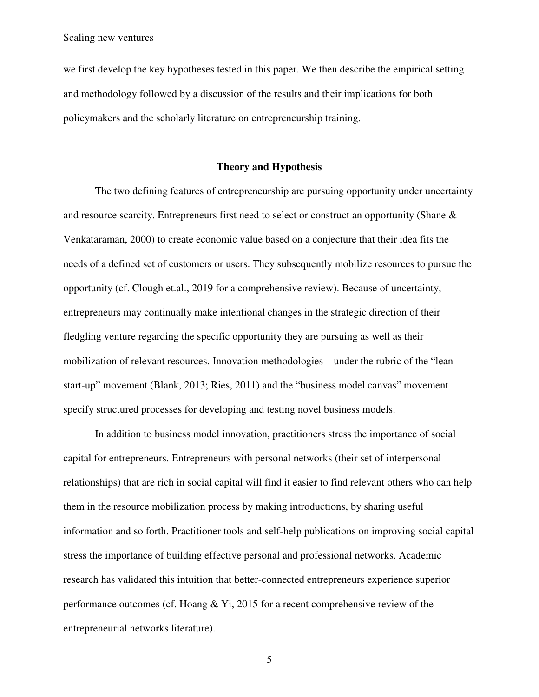we first develop the key hypotheses tested in this paper. We then describe the empirical setting and methodology followed by a discussion of the results and their implications for both policymakers and the scholarly literature on entrepreneurship training.

### **Theory and Hypothesis**

The two defining features of entrepreneurship are pursuing opportunity under uncertainty and resource scarcity. Entrepreneurs first need to select or construct an opportunity (Shane & Venkataraman, 2000) to create economic value based on a conjecture that their idea fits the needs of a defined set of customers or users. They subsequently mobilize resources to pursue the opportunity (cf. Clough et.al., 2019 for a comprehensive review). Because of uncertainty, entrepreneurs may continually make intentional changes in the strategic direction of their fledgling venture regarding the specific opportunity they are pursuing as well as their mobilization of relevant resources. Innovation methodologies—under the rubric of the "lean start-up" movement (Blank, 2013; Ries, 2011) and the "business model canvas" movement specify structured processes for developing and testing novel business models.

In addition to business model innovation, practitioners stress the importance of social capital for entrepreneurs. Entrepreneurs with personal networks (their set of interpersonal relationships) that are rich in social capital will find it easier to find relevant others who can help them in the resource mobilization process by making introductions, by sharing useful information and so forth. Practitioner tools and self-help publications on improving social capital stress the importance of building effective personal and professional networks. Academic research has validated this intuition that better-connected entrepreneurs experience superior performance outcomes (cf. Hoang & Yi, 2015 for a recent comprehensive review of the entrepreneurial networks literature).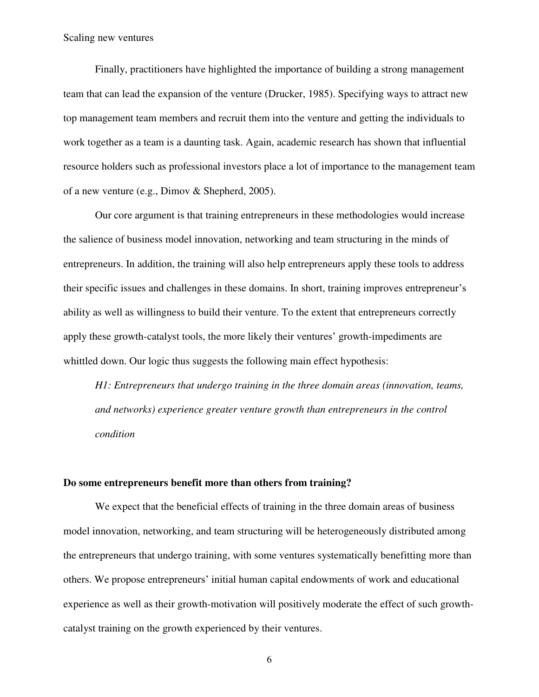Finally, practitioners have highlighted the importance of building a strong management team that can lead the expansion of the venture (Drucker, 1985). Specifying ways to attract new top management team members and recruit them into the venture and getting the individuals to work together as a team is a daunting task. Again, academic research has shown that influential resource holders such as professional investors place a lot of importance to the management team of a new venture (e.g., Dimov & Shepherd, 2005).

 Our core argument is that training entrepreneurs in these methodologies would increase the salience of business model innovation, networking and team structuring in the minds of entrepreneurs. In addition, the training will also help entrepreneurs apply these tools to address their specific issues and challenges in these domains. In short, training improves entrepreneur's ability as well as willingness to build their venture. To the extent that entrepreneurs correctly apply these growth-catalyst tools, the more likely their ventures' growth-impediments are whittled down. Our logic thus suggests the following main effect hypothesis:

*H1: Entrepreneurs that undergo training in the three domain areas (innovation, teams, and networks) experience greater venture growth than entrepreneurs in the control condition* 

### **Do some entrepreneurs benefit more than others from training?**

We expect that the beneficial effects of training in the three domain areas of business model innovation, networking, and team structuring will be heterogeneously distributed among the entrepreneurs that undergo training, with some ventures systematically benefitting more than others. We propose entrepreneurs' initial human capital endowments of work and educational experience as well as their growth-motivation will positively moderate the effect of such growthcatalyst training on the growth experienced by their ventures.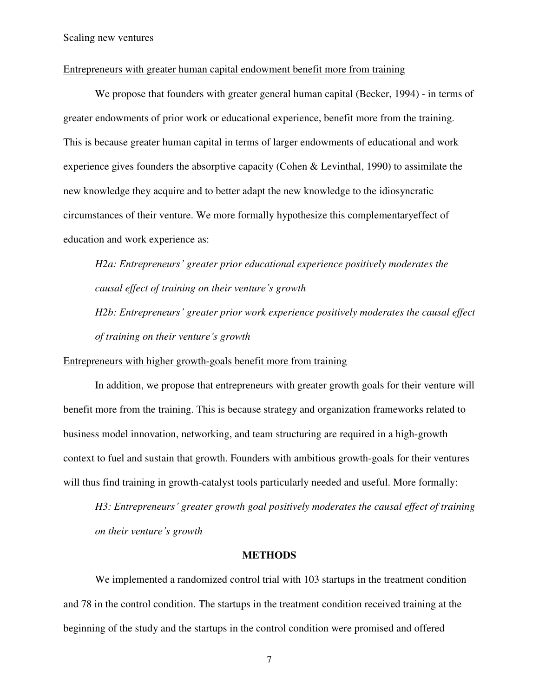#### Entrepreneurs with greater human capital endowment benefit more from training

We propose that founders with greater general human capital (Becker, 1994) - in terms of greater endowments of prior work or educational experience, benefit more from the training. This is because greater human capital in terms of larger endowments of educational and work experience gives founders the absorptive capacity (Cohen & Levinthal, 1990) to assimilate the new knowledge they acquire and to better adapt the new knowledge to the idiosyncratic circumstances of their venture. We more formally hypothesize this complementaryeffect of education and work experience as:

*H2a: Entrepreneurs' greater prior educational experience positively moderates the causal effect of training on their venture's growth* 

*H2b: Entrepreneurs' greater prior work experience positively moderates the causal effect of training on their venture's growth* 

Entrepreneurs with higher growth-goals benefit more from training

In addition, we propose that entrepreneurs with greater growth goals for their venture will benefit more from the training. This is because strategy and organization frameworks related to business model innovation, networking, and team structuring are required in a high-growth context to fuel and sustain that growth. Founders with ambitious growth-goals for their ventures will thus find training in growth-catalyst tools particularly needed and useful. More formally:

*H3: Entrepreneurs' greater growth goal positively moderates the causal effect of training on their venture's growth* 

#### **METHODS**

We implemented a randomized control trial with 103 startups in the treatment condition and 78 in the control condition. The startups in the treatment condition received training at the beginning of the study and the startups in the control condition were promised and offered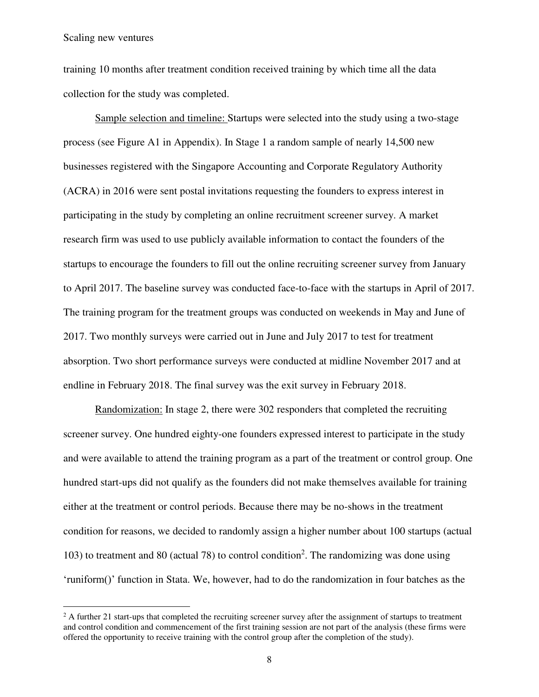$\overline{a}$ 

training 10 months after treatment condition received training by which time all the data collection for the study was completed.

Sample selection and timeline: Startups were selected into the study using a two-stage process (see Figure A1 in Appendix). In Stage 1 a random sample of nearly 14,500 new businesses registered with the Singapore Accounting and Corporate Regulatory Authority (ACRA) in 2016 were sent postal invitations requesting the founders to express interest in participating in the study by completing an online recruitment screener survey. A market research firm was used to use publicly available information to contact the founders of the startups to encourage the founders to fill out the online recruiting screener survey from January to April 2017. The baseline survey was conducted face-to-face with the startups in April of 2017. The training program for the treatment groups was conducted on weekends in May and June of 2017. Two monthly surveys were carried out in June and July 2017 to test for treatment absorption. Two short performance surveys were conducted at midline November 2017 and at endline in February 2018. The final survey was the exit survey in February 2018.

 Randomization: In stage 2, there were 302 responders that completed the recruiting screener survey. One hundred eighty-one founders expressed interest to participate in the study and were available to attend the training program as a part of the treatment or control group. One hundred start-ups did not qualify as the founders did not make themselves available for training either at the treatment or control periods. Because there may be no-shows in the treatment condition for reasons, we decided to randomly assign a higher number about 100 startups (actual 103) to treatment and 80 (actual 78) to control condition<sup>2</sup>. The randomizing was done using 'runiform()' function in Stata. We, however, had to do the randomization in four batches as the

 $2A$  further 21 start-ups that completed the recruiting screener survey after the assignment of startups to treatment and control condition and commencement of the first training session are not part of the analysis (these firms were offered the opportunity to receive training with the control group after the completion of the study).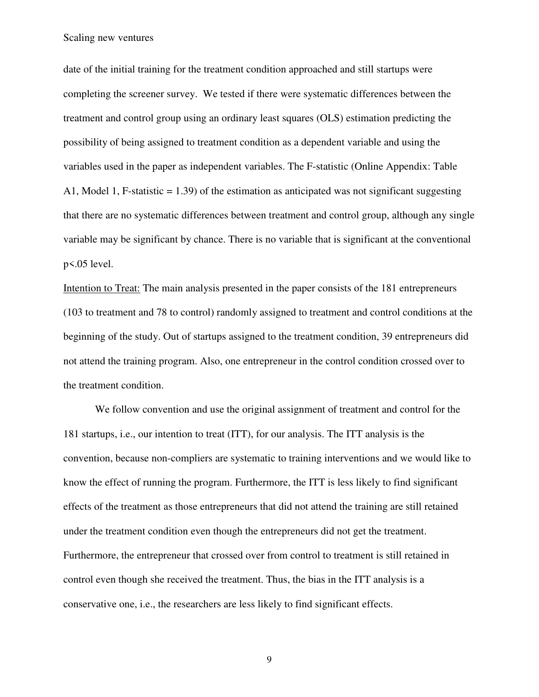date of the initial training for the treatment condition approached and still startups were completing the screener survey. We tested if there were systematic differences between the treatment and control group using an ordinary least squares (OLS) estimation predicting the possibility of being assigned to treatment condition as a dependent variable and using the variables used in the paper as independent variables. The F-statistic (Online Appendix: Table A1, Model 1, F-statistic  $= 1.39$ ) of the estimation as anticipated was not significant suggesting that there are no systematic differences between treatment and control group, although any single variable may be significant by chance. There is no variable that is significant at the conventional p<.05 level.

Intention to Treat: The main analysis presented in the paper consists of the 181 entrepreneurs (103 to treatment and 78 to control) randomly assigned to treatment and control conditions at the beginning of the study. Out of startups assigned to the treatment condition, 39 entrepreneurs did not attend the training program. Also, one entrepreneur in the control condition crossed over to the treatment condition.

We follow convention and use the original assignment of treatment and control for the 181 startups, i.e., our intention to treat (ITT), for our analysis. The ITT analysis is the convention, because non-compliers are systematic to training interventions and we would like to know the effect of running the program. Furthermore, the ITT is less likely to find significant effects of the treatment as those entrepreneurs that did not attend the training are still retained under the treatment condition even though the entrepreneurs did not get the treatment. Furthermore, the entrepreneur that crossed over from control to treatment is still retained in control even though she received the treatment. Thus, the bias in the ITT analysis is a conservative one, i.e., the researchers are less likely to find significant effects.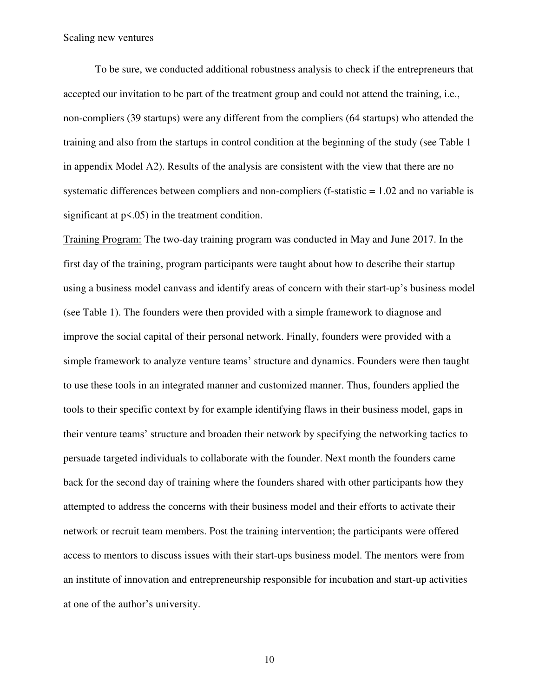To be sure, we conducted additional robustness analysis to check if the entrepreneurs that accepted our invitation to be part of the treatment group and could not attend the training, i.e., non-compliers (39 startups) were any different from the compliers (64 startups) who attended the training and also from the startups in control condition at the beginning of the study (see Table 1 in appendix Model A2). Results of the analysis are consistent with the view that there are no systematic differences between compliers and non-compliers (f-statistic  $= 1.02$  and no variable is significant at  $p < .05$ ) in the treatment condition.

Training Program: The two-day training program was conducted in May and June 2017. In the first day of the training, program participants were taught about how to describe their startup using a business model canvass and identify areas of concern with their start-up's business model (see Table 1). The founders were then provided with a simple framework to diagnose and improve the social capital of their personal network. Finally, founders were provided with a simple framework to analyze venture teams' structure and dynamics. Founders were then taught to use these tools in an integrated manner and customized manner. Thus, founders applied the tools to their specific context by for example identifying flaws in their business model, gaps in their venture teams' structure and broaden their network by specifying the networking tactics to persuade targeted individuals to collaborate with the founder. Next month the founders came back for the second day of training where the founders shared with other participants how they attempted to address the concerns with their business model and their efforts to activate their network or recruit team members. Post the training intervention; the participants were offered access to mentors to discuss issues with their start-ups business model. The mentors were from an institute of innovation and entrepreneurship responsible for incubation and start-up activities at one of the author's university.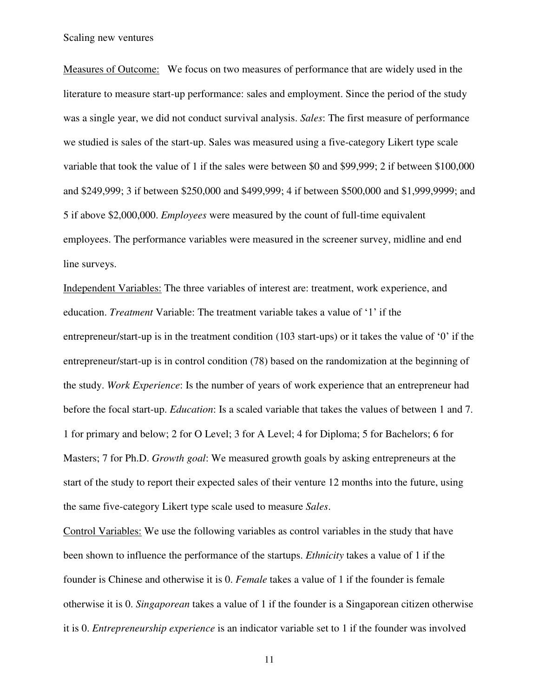Measures of Outcome: We focus on two measures of performance that are widely used in the literature to measure start-up performance: sales and employment. Since the period of the study was a single year, we did not conduct survival analysis. *Sales*: The first measure of performance we studied is sales of the start-up. Sales was measured using a five-category Likert type scale variable that took the value of 1 if the sales were between \$0 and \$99,999; 2 if between \$100,000 and \$249,999; 3 if between \$250,000 and \$499,999; 4 if between \$500,000 and \$1,999,9999; and 5 if above \$2,000,000. *Employees* were measured by the count of full-time equivalent employees. The performance variables were measured in the screener survey, midline and end line surveys.

Independent Variables: The three variables of interest are: treatment, work experience, and education. *Treatment* Variable: The treatment variable takes a value of '1' if the entrepreneur/start-up is in the treatment condition (103 start-ups) or it takes the value of '0' if the entrepreneur/start-up is in control condition (78) based on the randomization at the beginning of the study. *Work Experience*: Is the number of years of work experience that an entrepreneur had before the focal start-up. *Education*: Is a scaled variable that takes the values of between 1 and 7. 1 for primary and below; 2 for O Level; 3 for A Level; 4 for Diploma; 5 for Bachelors; 6 for Masters; 7 for Ph.D. *Growth goal*: We measured growth goals by asking entrepreneurs at the start of the study to report their expected sales of their venture 12 months into the future, using the same five-category Likert type scale used to measure *Sales*.

Control Variables: We use the following variables as control variables in the study that have been shown to influence the performance of the startups. *Ethnicity* takes a value of 1 if the founder is Chinese and otherwise it is 0. *Female* takes a value of 1 if the founder is female otherwise it is 0. *Singaporean* takes a value of 1 if the founder is a Singaporean citizen otherwise it is 0. *Entrepreneurship experience* is an indicator variable set to 1 if the founder was involved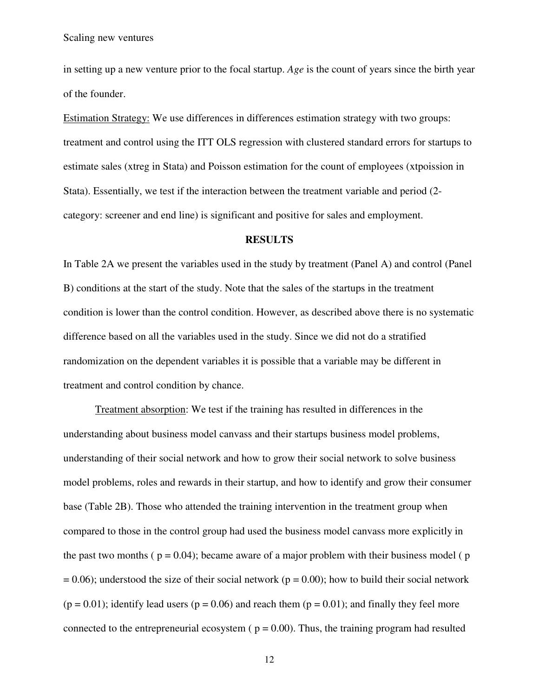in setting up a new venture prior to the focal startup. *Age* is the count of years since the birth year of the founder.

Estimation Strategy: We use differences in differences estimation strategy with two groups: treatment and control using the ITT OLS regression with clustered standard errors for startups to estimate sales (xtreg in Stata) and Poisson estimation for the count of employees (xtpoission in Stata). Essentially, we test if the interaction between the treatment variable and period (2 category: screener and end line) is significant and positive for sales and employment.

#### **RESULTS**

In Table 2A we present the variables used in the study by treatment (Panel A) and control (Panel B) conditions at the start of the study. Note that the sales of the startups in the treatment condition is lower than the control condition. However, as described above there is no systematic difference based on all the variables used in the study. Since we did not do a stratified randomization on the dependent variables it is possible that a variable may be different in treatment and control condition by chance.

 Treatment absorption: We test if the training has resulted in differences in the understanding about business model canvass and their startups business model problems, understanding of their social network and how to grow their social network to solve business model problems, roles and rewards in their startup, and how to identify and grow their consumer base (Table 2B). Those who attended the training intervention in the treatment group when compared to those in the control group had used the business model canvass more explicitly in the past two months ( $p = 0.04$ ); became aware of a major problem with their business model ( $p$ )  $= 0.06$ ; understood the size of their social network (p = 0.00); how to build their social network  $(p = 0.01)$ ; identify lead users  $(p = 0.06)$  and reach them  $(p = 0.01)$ ; and finally they feel more connected to the entrepreneurial ecosystem ( $p = 0.00$ ). Thus, the training program had resulted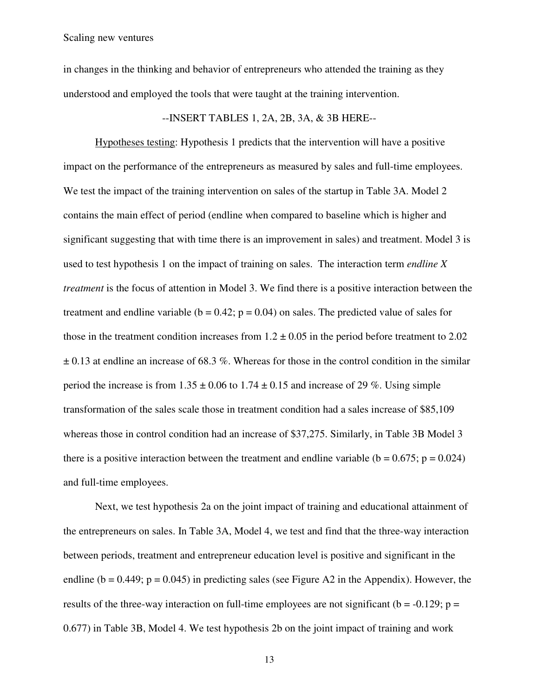in changes in the thinking and behavior of entrepreneurs who attended the training as they understood and employed the tools that were taught at the training intervention.

--INSERT TABLES 1, 2A, 2B, 3A, & 3B HERE--

Hypotheses testing: Hypothesis 1 predicts that the intervention will have a positive impact on the performance of the entrepreneurs as measured by sales and full-time employees. We test the impact of the training intervention on sales of the startup in Table 3A. Model 2 contains the main effect of period (endline when compared to baseline which is higher and significant suggesting that with time there is an improvement in sales) and treatment. Model 3 is used to test hypothesis 1 on the impact of training on sales. The interaction term *endline X treatment* is the focus of attention in Model 3. We find there is a positive interaction between the treatment and endline variable ( $b = 0.42$ ;  $p = 0.04$ ) on sales. The predicted value of sales for those in the treatment condition increases from  $1.2 \pm 0.05$  in the period before treatment to 2.02  $\pm$  0.13 at endline an increase of 68.3 %. Whereas for those in the control condition in the similar period the increase is from  $1.35 \pm 0.06$  to  $1.74 \pm 0.15$  and increase of 29 %. Using simple transformation of the sales scale those in treatment condition had a sales increase of \$85,109 whereas those in control condition had an increase of \$37,275. Similarly, in Table 3B Model 3 there is a positive interaction between the treatment and endline variable ( $b = 0.675$ ;  $p = 0.024$ ) and full-time employees.

 Next, we test hypothesis 2a on the joint impact of training and educational attainment of the entrepreneurs on sales. In Table 3A, Model 4, we test and find that the three-way interaction between periods, treatment and entrepreneur education level is positive and significant in the endline ( $b = 0.449$ ;  $p = 0.045$ ) in predicting sales (see Figure A2 in the Appendix). However, the results of the three-way interaction on full-time employees are not significant ( $b = -0.129$ ;  $p =$ 0.677) in Table 3B, Model 4. We test hypothesis 2b on the joint impact of training and work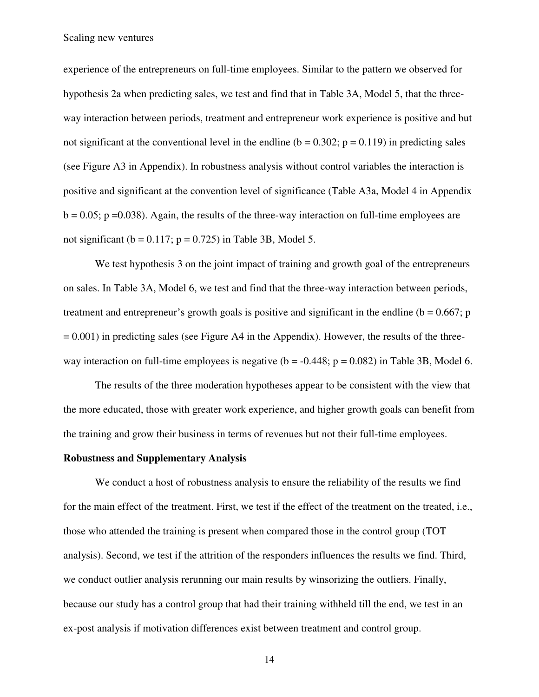experience of the entrepreneurs on full-time employees. Similar to the pattern we observed for hypothesis 2a when predicting sales, we test and find that in Table 3A, Model 5, that the threeway interaction between periods, treatment and entrepreneur work experience is positive and but not significant at the conventional level in the endline ( $b = 0.302$ ;  $p = 0.119$ ) in predicting sales (see Figure A3 in Appendix). In robustness analysis without control variables the interaction is positive and significant at the convention level of significance (Table A3a, Model 4 in Appendix  $b = 0.05$ ; p = 0.038). Again, the results of the three-way interaction on full-time employees are not significant ( $b = 0.117$ ;  $p = 0.725$ ) in Table 3B, Model 5.

We test hypothesis 3 on the joint impact of training and growth goal of the entrepreneurs on sales. In Table 3A, Model 6, we test and find that the three-way interaction between periods, treatment and entrepreneur's growth goals is positive and significant in the endline ( $b = 0.667$ ; p  $= 0.001$ ) in predicting sales (see Figure A4 in the Appendix). However, the results of the threeway interaction on full-time employees is negative ( $b = -0.448$ ;  $p = 0.082$ ) in Table 3B, Model 6.

The results of the three moderation hypotheses appear to be consistent with the view that the more educated, those with greater work experience, and higher growth goals can benefit from the training and grow their business in terms of revenues but not their full-time employees.

#### **Robustness and Supplementary Analysis**

We conduct a host of robustness analysis to ensure the reliability of the results we find for the main effect of the treatment. First, we test if the effect of the treatment on the treated, i.e., those who attended the training is present when compared those in the control group (TOT analysis). Second, we test if the attrition of the responders influences the results we find. Third, we conduct outlier analysis rerunning our main results by winsorizing the outliers. Finally, because our study has a control group that had their training withheld till the end, we test in an ex-post analysis if motivation differences exist between treatment and control group.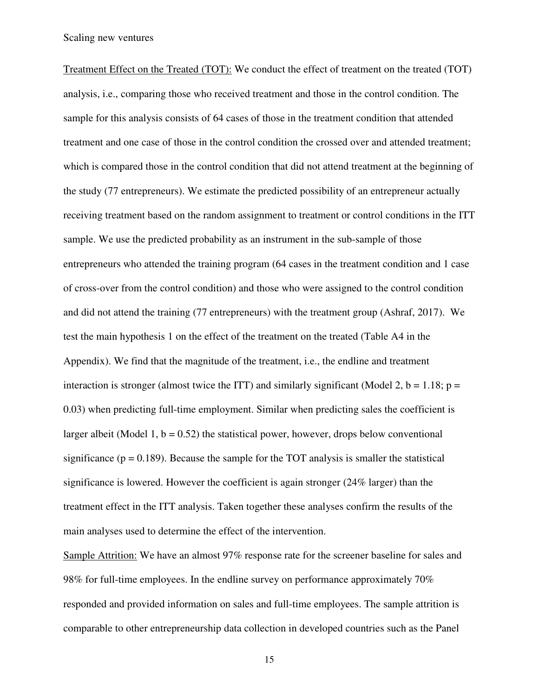Treatment Effect on the Treated (TOT): We conduct the effect of treatment on the treated (TOT) analysis, i.e., comparing those who received treatment and those in the control condition. The sample for this analysis consists of 64 cases of those in the treatment condition that attended treatment and one case of those in the control condition the crossed over and attended treatment; which is compared those in the control condition that did not attend treatment at the beginning of the study (77 entrepreneurs). We estimate the predicted possibility of an entrepreneur actually receiving treatment based on the random assignment to treatment or control conditions in the ITT sample. We use the predicted probability as an instrument in the sub-sample of those entrepreneurs who attended the training program (64 cases in the treatment condition and 1 case of cross-over from the control condition) and those who were assigned to the control condition and did not attend the training (77 entrepreneurs) with the treatment group (Ashraf, 2017). We test the main hypothesis 1 on the effect of the treatment on the treated (Table A4 in the Appendix). We find that the magnitude of the treatment, i.e., the endline and treatment interaction is stronger (almost twice the ITT) and similarly significant (Model 2,  $b = 1.18$ ;  $p =$ 0.03) when predicting full-time employment. Similar when predicting sales the coefficient is larger albeit (Model 1,  $b = 0.52$ ) the statistical power, however, drops below conventional significance ( $p = 0.189$ ). Because the sample for the TOT analysis is smaller the statistical significance is lowered. However the coefficient is again stronger (24% larger) than the treatment effect in the ITT analysis. Taken together these analyses confirm the results of the main analyses used to determine the effect of the intervention.

Sample Attrition: We have an almost 97% response rate for the screener baseline for sales and 98% for full-time employees. In the endline survey on performance approximately 70% responded and provided information on sales and full-time employees. The sample attrition is comparable to other entrepreneurship data collection in developed countries such as the Panel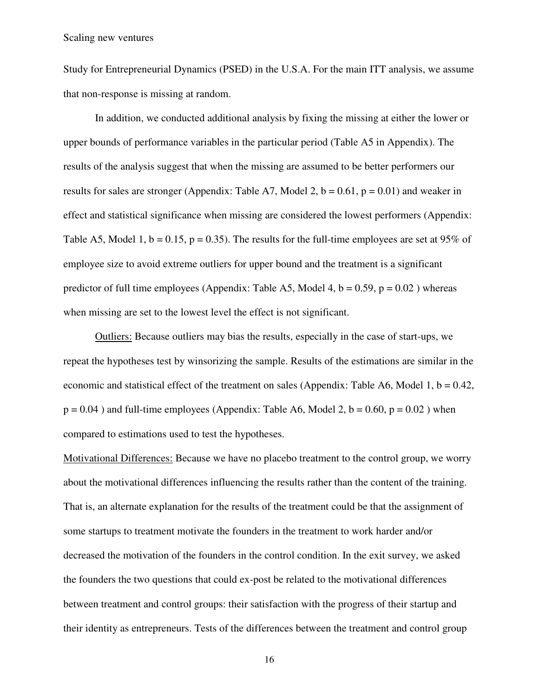Study for Entrepreneurial Dynamics (PSED) in the U.S.A. For the main ITT analysis, we assume that non-response is missing at random.

In addition, we conducted additional analysis by fixing the missing at either the lower or upper bounds of performance variables in the particular period (Table A5 in Appendix). The results of the analysis suggest that when the missing are assumed to be better performers our results for sales are stronger (Appendix: Table A7, Model 2,  $b = 0.61$ ,  $p = 0.01$ ) and weaker in effect and statistical significance when missing are considered the lowest performers (Appendix: Table A5, Model 1, b = 0.15, p = 0.35). The results for the full-time employees are set at 95% of employee size to avoid extreme outliers for upper bound and the treatment is a significant predictor of full time employees (Appendix: Table A5, Model 4,  $b = 0.59$ ,  $p = 0.02$ ) whereas when missing are set to the lowest level the effect is not significant.

 Outliers: Because outliers may bias the results, especially in the case of start-ups, we repeat the hypotheses test by winsorizing the sample. Results of the estimations are similar in the economic and statistical effect of the treatment on sales (Appendix: Table A6, Model 1,  $b = 0.42$ ,  $p = 0.04$ ) and full-time employees (Appendix: Table A6, Model 2, b = 0.60, p = 0.02) when compared to estimations used to test the hypotheses.

Motivational Differences: Because we have no placebo treatment to the control group, we worry about the motivational differences influencing the results rather than the content of the training. That is, an alternate explanation for the results of the treatment could be that the assignment of some startups to treatment motivate the founders in the treatment to work harder and/or decreased the motivation of the founders in the control condition. In the exit survey, we asked the founders the two questions that could ex-post be related to the motivational differences between treatment and control groups: their satisfaction with the progress of their startup and their identity as entrepreneurs. Tests of the differences between the treatment and control group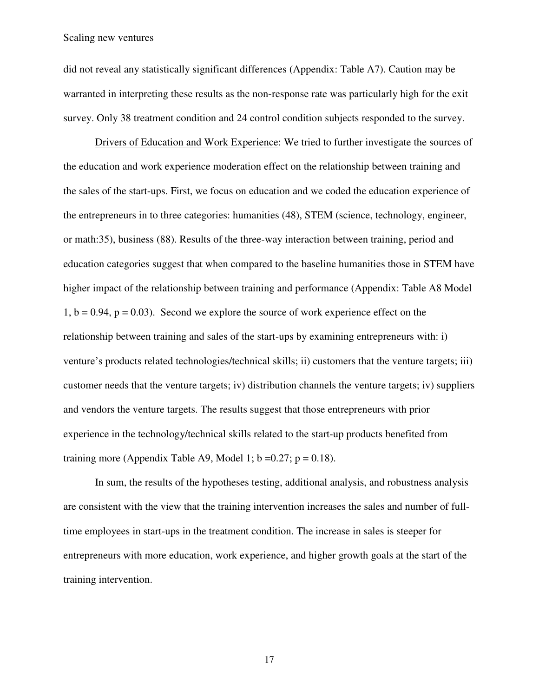did not reveal any statistically significant differences (Appendix: Table A7). Caution may be warranted in interpreting these results as the non-response rate was particularly high for the exit survey. Only 38 treatment condition and 24 control condition subjects responded to the survey.

Drivers of Education and Work Experience: We tried to further investigate the sources of the education and work experience moderation effect on the relationship between training and the sales of the start-ups. First, we focus on education and we coded the education experience of the entrepreneurs in to three categories: humanities (48), STEM (science, technology, engineer, or math:35), business (88). Results of the three-way interaction between training, period and education categories suggest that when compared to the baseline humanities those in STEM have higher impact of the relationship between training and performance (Appendix: Table A8 Model  $1, b = 0.94, p = 0.03$ . Second we explore the source of work experience effect on the relationship between training and sales of the start-ups by examining entrepreneurs with: i) venture's products related technologies/technical skills; ii) customers that the venture targets; iii) customer needs that the venture targets; iv) distribution channels the venture targets; iv) suppliers and vendors the venture targets. The results suggest that those entrepreneurs with prior experience in the technology/technical skills related to the start-up products benefited from training more (Appendix Table A9, Model 1;  $b = 0.27$ ;  $p = 0.18$ ).

In sum, the results of the hypotheses testing, additional analysis, and robustness analysis are consistent with the view that the training intervention increases the sales and number of fulltime employees in start-ups in the treatment condition. The increase in sales is steeper for entrepreneurs with more education, work experience, and higher growth goals at the start of the training intervention.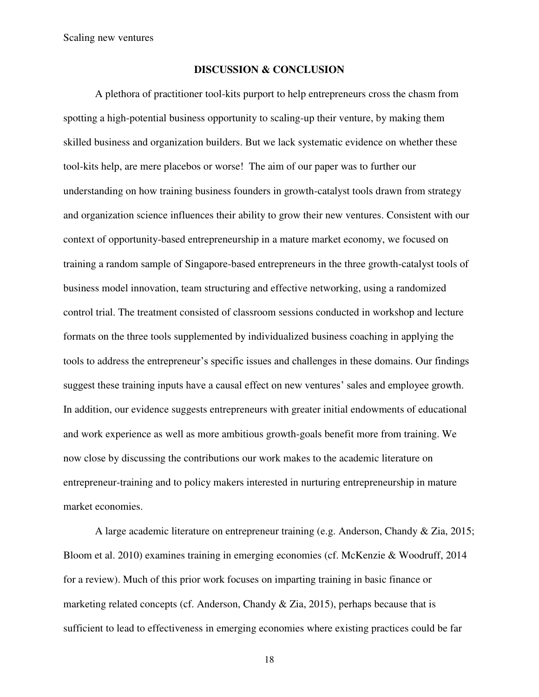#### **DISCUSSION & CONCLUSION**

A plethora of practitioner tool-kits purport to help entrepreneurs cross the chasm from spotting a high-potential business opportunity to scaling-up their venture, by making them skilled business and organization builders. But we lack systematic evidence on whether these tool-kits help, are mere placebos or worse! The aim of our paper was to further our understanding on how training business founders in growth-catalyst tools drawn from strategy and organization science influences their ability to grow their new ventures. Consistent with our context of opportunity-based entrepreneurship in a mature market economy, we focused on training a random sample of Singapore-based entrepreneurs in the three growth-catalyst tools of business model innovation, team structuring and effective networking, using a randomized control trial. The treatment consisted of classroom sessions conducted in workshop and lecture formats on the three tools supplemented by individualized business coaching in applying the tools to address the entrepreneur's specific issues and challenges in these domains. Our findings suggest these training inputs have a causal effect on new ventures' sales and employee growth. In addition, our evidence suggests entrepreneurs with greater initial endowments of educational and work experience as well as more ambitious growth-goals benefit more from training. We now close by discussing the contributions our work makes to the academic literature on entrepreneur-training and to policy makers interested in nurturing entrepreneurship in mature market economies.

A large academic literature on entrepreneur training (e.g. Anderson, Chandy & Zia, 2015; Bloom et al. 2010) examines training in emerging economies (cf. McKenzie & Woodruff, 2014 for a review). Much of this prior work focuses on imparting training in basic finance or marketing related concepts (cf. Anderson, Chandy & Zia, 2015), perhaps because that is sufficient to lead to effectiveness in emerging economies where existing practices could be far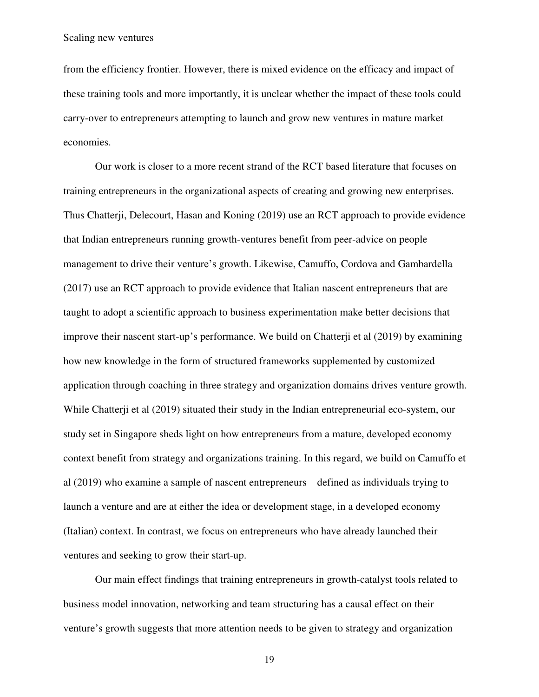from the efficiency frontier. However, there is mixed evidence on the efficacy and impact of these training tools and more importantly, it is unclear whether the impact of these tools could carry-over to entrepreneurs attempting to launch and grow new ventures in mature market economies.

Our work is closer to a more recent strand of the RCT based literature that focuses on training entrepreneurs in the organizational aspects of creating and growing new enterprises. Thus Chatterji, Delecourt, Hasan and Koning (2019) use an RCT approach to provide evidence that Indian entrepreneurs running growth-ventures benefit from peer-advice on people management to drive their venture's growth. Likewise, Camuffo, Cordova and Gambardella (2017) use an RCT approach to provide evidence that Italian nascent entrepreneurs that are taught to adopt a scientific approach to business experimentation make better decisions that improve their nascent start-up's performance. We build on Chatterji et al (2019) by examining how new knowledge in the form of structured frameworks supplemented by customized application through coaching in three strategy and organization domains drives venture growth. While Chatterji et al (2019) situated their study in the Indian entrepreneurial eco-system, our study set in Singapore sheds light on how entrepreneurs from a mature, developed economy context benefit from strategy and organizations training. In this regard, we build on Camuffo et al (2019) who examine a sample of nascent entrepreneurs – defined as individuals trying to launch a venture and are at either the idea or development stage, in a developed economy (Italian) context. In contrast, we focus on entrepreneurs who have already launched their ventures and seeking to grow their start-up.

Our main effect findings that training entrepreneurs in growth-catalyst tools related to business model innovation, networking and team structuring has a causal effect on their venture's growth suggests that more attention needs to be given to strategy and organization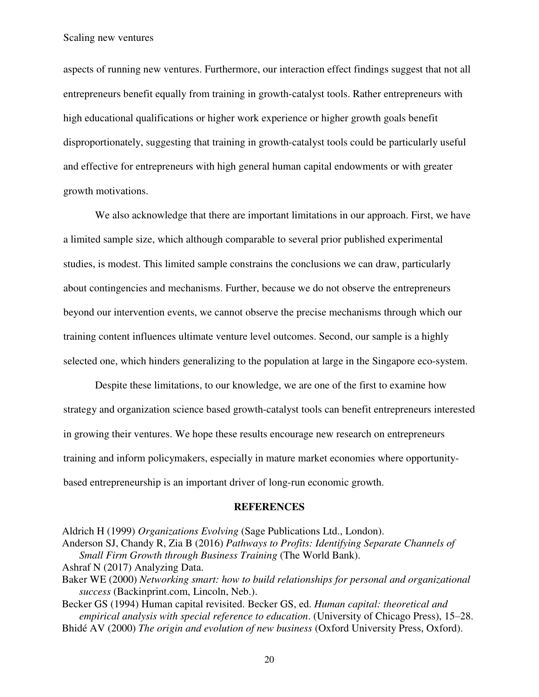aspects of running new ventures. Furthermore, our interaction effect findings suggest that not all entrepreneurs benefit equally from training in growth-catalyst tools. Rather entrepreneurs with high educational qualifications or higher work experience or higher growth goals benefit disproportionately, suggesting that training in growth-catalyst tools could be particularly useful and effective for entrepreneurs with high general human capital endowments or with greater growth motivations.

We also acknowledge that there are important limitations in our approach. First, we have a limited sample size, which although comparable to several prior published experimental studies, is modest. This limited sample constrains the conclusions we can draw, particularly about contingencies and mechanisms. Further, because we do not observe the entrepreneurs beyond our intervention events, we cannot observe the precise mechanisms through which our training content influences ultimate venture level outcomes. Second, our sample is a highly selected one, which hinders generalizing to the population at large in the Singapore eco-system.

Despite these limitations, to our knowledge, we are one of the first to examine how strategy and organization science based growth-catalyst tools can benefit entrepreneurs interested in growing their ventures. We hope these results encourage new research on entrepreneurs training and inform policymakers, especially in mature market economies where opportunitybased entrepreneurship is an important driver of long-run economic growth.

#### **REFERENCES**

Aldrich H (1999) *Organizations Evolving* (Sage Publications Ltd., London).

Anderson SJ, Chandy R, Zia B (2016) *Pathways to Profits: Identifying Separate Channels of Small Firm Growth through Business Training* (The World Bank).

- Ashraf N (2017) Analyzing Data.
- Baker WE (2000) *Networking smart: how to build relationships for personal and organizational success* (Backinprint.com, Lincoln, Neb.).
- Becker GS (1994) Human capital revisited. Becker GS, ed. *Human capital: theoretical and empirical analysis with special reference to education*. (University of Chicago Press), 15–28. Bhidé AV (2000) *The origin and evolution of new business* (Oxford University Press, Oxford).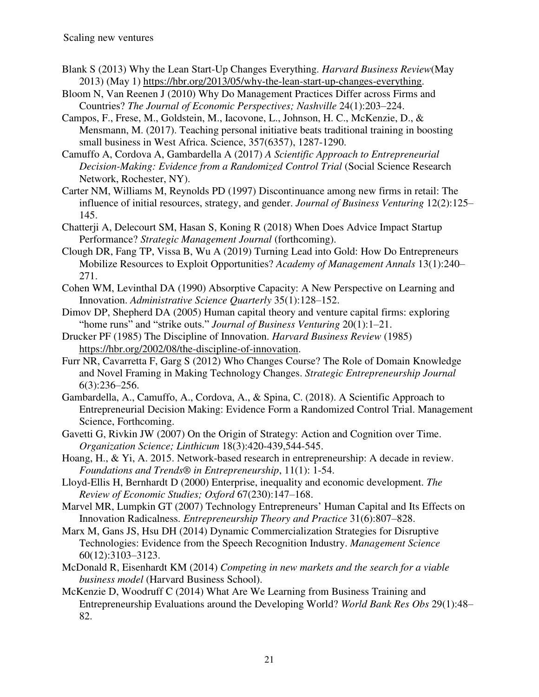- Blank S (2013) Why the Lean Start-Up Changes Everything. *Harvard Business Review*(May 2013) (May 1) [https://hbr.org/2013/05/why-the-lean-start-up-changes-everything.](https://hbr.org/2013/05/why-the-lean-start-up-changes-everything)
- Bloom N, Van Reenen J (2010) Why Do Management Practices Differ across Firms and Countries? *The Journal of Economic Perspectives; Nashville* 24(1):203–224.
- Campos, F., Frese, M., Goldstein, M., Iacovone, L., Johnson, H. C., McKenzie, D., & Mensmann, M. (2017). Teaching personal initiative beats traditional training in boosting small business in West Africa. Science, 357(6357), 1287-1290.
- Camuffo A, Cordova A, Gambardella A (2017) *A Scientific Approach to Entrepreneurial Decision-Making: Evidence from a Randomized Control Trial* (Social Science Research Network, Rochester, NY).
- Carter NM, Williams M, Reynolds PD (1997) Discontinuance among new firms in retail: The influence of initial resources, strategy, and gender. *Journal of Business Venturing* 12(2):125– 145.
- Chatterji A, Delecourt SM, Hasan S, Koning R (2018) When Does Advice Impact Startup Performance? *Strategic Management Journal* (forthcoming).
- Clough DR, Fang TP, Vissa B, Wu A (2019) Turning Lead into Gold: How Do Entrepreneurs Mobilize Resources to Exploit Opportunities? *Academy of Management Annals* 13(1):240– 271.
- Cohen WM, Levinthal DA (1990) Absorptive Capacity: A New Perspective on Learning and Innovation. *Administrative Science Quarterly* 35(1):128–152.
- Dimov DP, Shepherd DA (2005) Human capital theory and venture capital firms: exploring "home runs" and "strike outs." *Journal of Business Venturing* 20(1):1–21.
- Drucker PF (1985) The Discipline of Innovation. *Harvard Business Review* (1985) [https://hbr.org/2002/08/the-discipline-of-innovation.](https://hbr.org/2002/08/the-discipline-of-innovation)
- Furr NR, Cavarretta F, Garg S (2012) Who Changes Course? The Role of Domain Knowledge and Novel Framing in Making Technology Changes. *Strategic Entrepreneurship Journal* 6(3):236–256.
- Gambardella, A., Camuffo, A., Cordova, A., & Spina, C. (2018). A Scientific Approach to Entrepreneurial Decision Making: Evidence Form a Randomized Control Trial. Management Science, Forthcoming.
- Gavetti G, Rivkin JW (2007) On the Origin of Strategy: Action and Cognition over Time. *Organization Science; Linthicum* 18(3):420-439,544-545.
- Hoang, H., & Yi, A. 2015. Network-based research in entrepreneurship: A decade in review. *Foundations and Trends® in Entrepreneurship*, 11(1): 1-54.
- Lloyd-Ellis H, Bernhardt D (2000) Enterprise, inequality and economic development. *The Review of Economic Studies; Oxford* 67(230):147–168.
- Marvel MR, Lumpkin GT (2007) Technology Entrepreneurs' Human Capital and Its Effects on Innovation Radicalness. *Entrepreneurship Theory and Practice* 31(6):807–828.
- Marx M, Gans JS, Hsu DH (2014) Dynamic Commercialization Strategies for Disruptive Technologies: Evidence from the Speech Recognition Industry. *Management Science* 60(12):3103–3123.
- McDonald R, Eisenhardt KM (2014) *Competing in new markets and the search for a viable business model* (Harvard Business School).
- McKenzie D, Woodruff C (2014) What Are We Learning from Business Training and Entrepreneurship Evaluations around the Developing World? *World Bank Res Obs* 29(1):48– 82.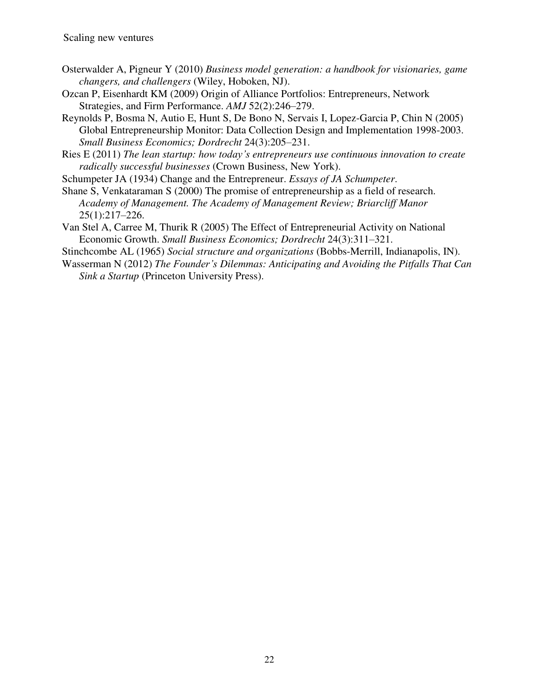- Osterwalder A, Pigneur Y (2010) *Business model generation: a handbook for visionaries, game changers, and challengers* (Wiley, Hoboken, NJ).
- Ozcan P, Eisenhardt KM (2009) Origin of Alliance Portfolios: Entrepreneurs, Network Strategies, and Firm Performance. *AMJ* 52(2):246–279.
- Reynolds P, Bosma N, Autio E, Hunt S, De Bono N, Servais I, Lopez-Garcia P, Chin N (2005) Global Entrepreneurship Monitor: Data Collection Design and Implementation 1998-2003. *Small Business Economics; Dordrecht* 24(3):205–231.
- Ries E (2011) *The lean startup: how today's entrepreneurs use continuous innovation to create radically successful businesses* (Crown Business, New York).

Schumpeter JA (1934) Change and the Entrepreneur. *Essays of JA Schumpeter*.

Shane S, Venkataraman S (2000) The promise of entrepreneurship as a field of research. *Academy of Management. The Academy of Management Review; Briarcliff Manor* 25(1):217–226.

Van Stel A, Carree M, Thurik R (2005) The Effect of Entrepreneurial Activity on National Economic Growth. *Small Business Economics; Dordrecht* 24(3):311–321.

Stinchcombe AL (1965) *Social structure and organizations* (Bobbs-Merrill, Indianapolis, IN).

Wasserman N (2012) *The Founder's Dilemmas: Anticipating and Avoiding the Pitfalls That Can Sink a Startup* (Princeton University Press).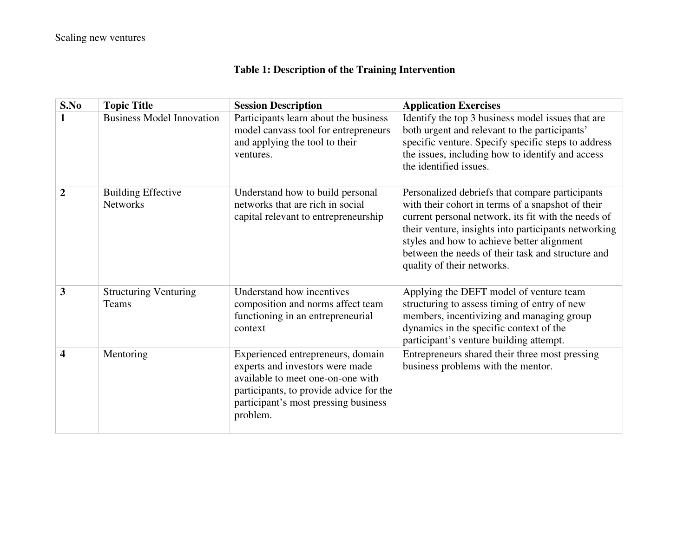# **Table 1: Description of the Training Intervention**

| S.No           | <b>Topic Title</b>                           | <b>Session Description</b>                                                                                                                                                                               | <b>Application Exercises</b>                                                                                                                                                                                                                                                                                                                         |
|----------------|----------------------------------------------|----------------------------------------------------------------------------------------------------------------------------------------------------------------------------------------------------------|------------------------------------------------------------------------------------------------------------------------------------------------------------------------------------------------------------------------------------------------------------------------------------------------------------------------------------------------------|
|                | <b>Business Model Innovation</b>             | Participants learn about the business<br>model canvass tool for entrepreneurs<br>and applying the tool to their<br>ventures.                                                                             | Identify the top 3 business model issues that are<br>both urgent and relevant to the participants'<br>specific venture. Specify specific steps to address<br>the issues, including how to identify and access<br>the identified issues.                                                                                                              |
| $\overline{2}$ | <b>Building Effective</b><br><b>Networks</b> | Understand how to build personal<br>networks that are rich in social<br>capital relevant to entrepreneurship                                                                                             | Personalized debriefs that compare participants<br>with their cohort in terms of a snapshot of their<br>current personal network, its fit with the needs of<br>their venture, insights into participants networking<br>styles and how to achieve better alignment<br>between the needs of their task and structure and<br>quality of their networks. |
| 3              | <b>Structuring Venturing</b><br>Teams        | Understand how incentives<br>composition and norms affect team<br>functioning in an entrepreneurial<br>context                                                                                           | Applying the DEFT model of venture team<br>structuring to assess timing of entry of new<br>members, incentivizing and managing group<br>dynamics in the specific context of the<br>participant's venture building attempt.                                                                                                                           |
| 4              | Mentoring                                    | Experienced entrepreneurs, domain<br>experts and investors were made<br>available to meet one-on-one with<br>participants, to provide advice for the<br>participant's most pressing business<br>problem. | Entrepreneurs shared their three most pressing<br>business problems with the mentor.                                                                                                                                                                                                                                                                 |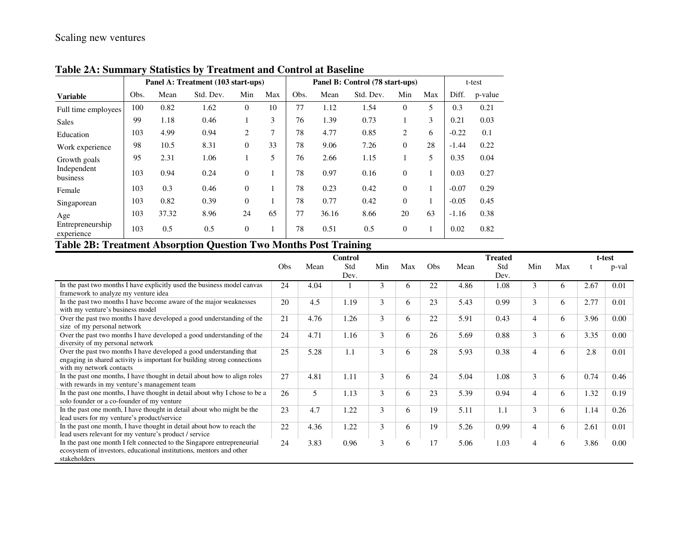|                                |      | Panel A: Treatment (103 start-ups) |           |          |     |      | Panel B: Control (78 start-ups) |           |                |              | t-test  |         |
|--------------------------------|------|------------------------------------|-----------|----------|-----|------|---------------------------------|-----------|----------------|--------------|---------|---------|
| <b>Variable</b>                | Obs. | Mean                               | Std. Dev. | Min      | Max | Obs. | Mean                            | Std. Dev. | Min            | Max          | Diff.   | p-value |
| Full time employees            | 100  | 0.82                               | 1.62      | $\Omega$ | 10  | 77   | 1.12                            | 1.54      | $\theta$       | 5            | 0.3     | 0.21    |
| <b>Sales</b>                   | 99   | 1.18                               | 0.46      |          | 3   | 76   | 1.39                            | 0.73      |                | 3            | 0.21    | 0.03    |
| Education                      | 103  | 4.99                               | 0.94      | 2        | 7   | 78   | 4.77                            | 0.85      | 2              | 6            | $-0.22$ | 0.1     |
| Work experience                | 98   | 10.5                               | 8.31      | $\Omega$ | 33  | 78   | 9.06                            | 7.26      | $\overline{0}$ | 28           | $-1.44$ | 0.22    |
| Growth goals                   | 95   | 2.31                               | 1.06      |          | 5   | 76   | 2.66                            | 1.15      |                | 5            | 0.35    | 0.04    |
| Independent<br>business        | 103  | 0.94                               | 0.24      | $\Omega$ | 1   | 78   | 0.97                            | 0.16      | $\overline{0}$ |              | 0.03    | 0.27    |
| Female                         | 103  | 0.3                                | 0.46      | $\Omega$ | 1   | 78   | 0.23                            | 0.42      | $\theta$       |              | $-0.07$ | 0.29    |
| Singaporean                    | 103  | 0.82                               | 0.39      | $\Omega$ |     | 78   | 0.77                            | 0.42      | $\theta$       | $\mathbf{1}$ | $-0.05$ | 0.45    |
| Age                            | 103  | 37.32                              | 8.96      | 24       | 65  | 77   | 36.16                           | 8.66      | 20             | 63           | $-1.16$ | 0.38    |
| Entrepreneurship<br>experience | 103  | 0.5                                | 0.5       | $\theta$ | 1   | 78   | 0.51                            | 0.5       | $\overline{0}$ |              | 0.02    | 0.82    |

**Table 2A: Summary Statistics by Treatment and Control at Baseline**

# **Table 2B: Treatment Absorption Question Two Months Post Training**

|                                                                            |     |      | Control |     |              |                 |      | <b>Treated</b> |     |     |      | t-test |
|----------------------------------------------------------------------------|-----|------|---------|-----|--------------|-----------------|------|----------------|-----|-----|------|--------|
|                                                                            | Obs | Mean | Std     | Min | Max          | O <sub>bs</sub> | Mean | Std            | Min | Max |      | p-val  |
|                                                                            |     |      | Dev.    |     |              |                 |      | Dev.           |     |     |      |        |
| In the past two months I have explicitly used the business model canvas    | 24  | 4.04 |         | 3   | <sub>0</sub> | 22              | 4.86 | 1.08           | 3   | 6   | 2.67 | 0.01   |
| framework to analyze my venture idea                                       |     |      |         |     |              |                 |      |                |     |     |      |        |
| In the past two months I have become aware of the major weaknesses         | 20  | 4.5  | 1.19    | 3   | 6            | 23              | 5.43 | 0.99           | 3   | 6   | 2.77 | 0.01   |
| with my venture's business model                                           |     |      |         |     |              |                 |      |                |     |     |      |        |
| Over the past two months I have developed a good understanding of the      | 21  | 4.76 | 1.26    | 3   | 6            | 22              | 5.91 | 0.43           | 4   | 6   | 3.96 | 0.00   |
| size of my personal network                                                |     |      |         |     |              |                 |      |                |     |     |      |        |
| Over the past two months I have developed a good understanding of the      | 24  | 4.71 | 1.16    | 3   | 6            | 26              | 5.69 | 0.88           | 3   | 6   | 3.35 | 0.00   |
| diversity of my personal network                                           |     |      |         |     |              |                 |      |                |     |     |      |        |
| Over the past two months I have developed a good understanding that        | 25  | 5.28 | 1.1     | 3   | 6            | 28              | 5.93 | 0.38           | 4   | 6   | 2.8  | 0.01   |
| engaging in shared activity is important for building strong connections   |     |      |         |     |              |                 |      |                |     |     |      |        |
| with my network contacts                                                   |     |      |         |     |              |                 |      |                |     |     |      |        |
| In the past one months, I have thought in detail about how to align roles  | 27  | 4.81 | 1.11    | 3   | 6            | 24              | 5.04 | 1.08           | 3   | 6   | 0.74 | 0.46   |
| with rewards in my venture's management team                               |     |      |         |     |              |                 |      |                |     |     |      |        |
| In the past one months, I have thought in detail about why I chose to be a | 26  | 5    | 1.13    | 3   | 6            | 23              | 5.39 | 0.94           | 4   | 6   | 1.32 | 0.19   |
| solo founder or a co-founder of my venture                                 |     |      |         |     |              |                 |      |                |     |     |      |        |
| In the past one month, I have thought in detail about who might be the     | 23  | 4.7  | 1.22    | 3   | 6            | 19              | 5.11 | 1.1            | 3   | 6   | 1.14 | 0.26   |
| lead users for my venture's product/service                                |     |      |         |     |              |                 |      |                |     |     |      |        |
| In the past one month, I have thought in detail about how to reach the     | 22  | 4.36 | 1.22    | 3   | 6            | 19              | 5.26 | 0.99           | 4   | 6   | 2.61 | 0.01   |
| lead users relevant for my venture's product / service                     |     |      |         |     |              |                 |      |                |     |     |      |        |
| In the past one month I felt connected to the Singapore entrepreneurial    | 24  | 3.83 | 0.96    | 3   | 6            | 17              | 5.06 | 1.03           |     | 6   | 3.86 | 0.00   |
| ecosystem of investors, educational institutions, mentors and other        |     |      |         |     |              |                 |      |                |     |     |      |        |
| stakeholders                                                               |     |      |         |     |              |                 |      |                |     |     |      |        |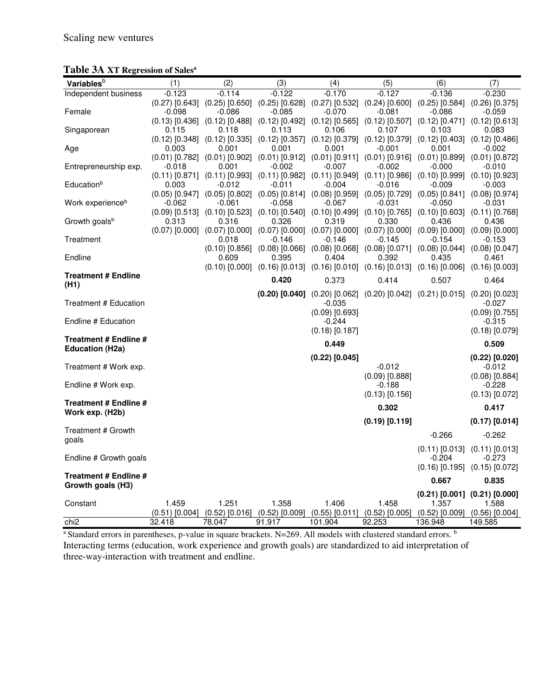|  |  | Table 3A XT Regression of Sales <sup>a</sup> |  |  |
|--|--|----------------------------------------------|--|--|
|--|--|----------------------------------------------|--|--|

| Variables <sup>b</sup>       | (1)      | (2)                                                                                                                                              | (3)      | (4)              | (5)                               | (6)                                                                                                               | (7)                               |
|------------------------------|----------|--------------------------------------------------------------------------------------------------------------------------------------------------|----------|------------------|-----------------------------------|-------------------------------------------------------------------------------------------------------------------|-----------------------------------|
|                              | $-0.123$ | $-0.114$                                                                                                                                         | $-0.122$ | $-0.170$         | $-0.127$                          | $-0.136$                                                                                                          | $-0.230$                          |
| Independent business         |          | $(0.27)$ [0.643] $(0.25)$ [0.650] $(0.25)$ [0.628] $(0.27)$ [0.532] $(0.24)$ [0.600] $(0.25)$ [0.584] $(0.26)$ [0.375]                           |          |                  |                                   |                                                                                                                   |                                   |
| Female                       | $-0.098$ | $-0.086$                                                                                                                                         | -0.085   | $-0.070$         | $-0.081$                          | $-0.086$                                                                                                          | $-0.059$                          |
|                              |          | $(0.13)$ $[0.436]$ $(0.12)$ $[0.488]$ $(0.12)$ $[0.492]$ $(0.12)$ $[0.565]$ $(0.12)$ $[0.507]$ $(0.12)$ $[0.471]$ $(0.12)$ $[0.613]$             |          |                  |                                   |                                                                                                                   |                                   |
| Singaporean                  | 0.115    | 0.118                                                                                                                                            | 0.113    | 0.106            | 0.107                             | 0.103                                                                                                             | 0.083                             |
|                              |          | $(0.12)$ $[0.348]$ $(0.12)$ $[0.335]$ $(0.12)$ $[0.357]$ $(0.12)$ $[0.379]$ $(0.12)$ $[0.379]$ $(0.12)$ $[0.403]$ $(0.12)$ $[0.486]$             |          |                  |                                   |                                                                                                                   |                                   |
| Age                          | 0.003    | 0.001                                                                                                                                            | 0.001    | 0.001            | $-0.001$                          | 0.001                                                                                                             | $-0.002$                          |
|                              |          | $(0.01)$ [0.782] $(0.01)$ [0.902] $(0.01)$ [0.912] $(0.01)$ [0.911] $(0.01)$ [0.916] $(0.01)$ [0.899] $(0.01)$ [0.872]                           |          |                  |                                   |                                                                                                                   |                                   |
| Entrepreneurship exp.        | $-0.018$ | 0.001                                                                                                                                            | $-0.002$ | $-0.007$         | $-0.002$                          | -0.000                                                                                                            | $-0.010$                          |
|                              |          | $(0.11)$ $[0.871]$ $(0.11)$ $[0.993]$ $(0.11)$ $[0.982]$ $(0.11)$ $[0.949]$ $(0.11)$ $[0.986]$ $(0.10)$ $[0.999]$ $(0.10)$ $[0.923]$             |          |                  |                                   |                                                                                                                   |                                   |
| Educationb                   | 0.003    | $-0.012$<br>$(0.05)$ $[0.947]$ $(0.05)$ $[0.802]$ $(0.05)$ $[0.814]$ $(0.08)$ $[0.959]$ $(0.05)$ $[0.729]$ $(0.05)$ $[0.841]$ $(0.08)$ $[0.974]$ | $-0.011$ | $-0.004$         | -0.016                            | -0.009                                                                                                            | $-0.003$                          |
| Work experience <sup>b</sup> | $-0.062$ | $-0.061$                                                                                                                                         | $-0.058$ | $-0.067$         | -0.031                            | -0.050                                                                                                            | -0.031                            |
|                              |          | $(0.09)$ $[0.513]$ $(0.10)$ $[0.523]$ $(0.10)$ $[0.540]$ $(0.10)$ $[0.499]$ $(0.10)$ $[0.765]$ $(0.10)$ $[0.603]$ $(0.11)$ $[0.768]$             |          |                  |                                   |                                                                                                                   |                                   |
| Growth goals <sup>b</sup>    | 0.313    | 0.316                                                                                                                                            | 0.326    | 0.319            | 0.330                             | 0.436                                                                                                             | 0.436                             |
|                              |          | $(0.07)$ $[0.000]$ $(0.07)$ $[0.000]$ $(0.07)$ $[0.000]$ $(0.07)$ $[0.000]$ $(0.07)$ $[0.000]$ $(0.09)$ $[0.000]$ $(0.09)$ $[0.000]$             |          |                  |                                   |                                                                                                                   |                                   |
| Treatment                    |          | 0.018                                                                                                                                            | $-0.146$ | $-0.146$         | $-0.145$                          | $-0.154$                                                                                                          | $-0.153$                          |
|                              |          |                                                                                                                                                  |          |                  |                                   | $(0.10)$ $[0.856]$ $(0.08)$ $[0.066]$ $(0.08)$ $[0.068]$ $(0.08)$ $[0.071]$ $(0.08)$ $[0.044]$ $(0.08)$ $[0.047]$ |                                   |
| Endline                      |          | 0.609                                                                                                                                            | 0.395    | 0.404            | 0.392                             | 0.435                                                                                                             | 0.461                             |
|                              |          |                                                                                                                                                  |          |                  |                                   | $(0.10)$ $[0.000]$ $(0.16)$ $[0.013]$ $(0.16)$ $[0.010]$ $(0.16)$ $[0.013]$ $(0.16)$ $[0.006]$ $(0.16)$ $[0.003]$ |                                   |
| <b>Treatment # Endline</b>   |          |                                                                                                                                                  | 0.420    | 0.373            | 0.414                             | 0.507                                                                                                             | 0.464                             |
| (H1)                         |          |                                                                                                                                                  |          |                  |                                   |                                                                                                                   |                                   |
| Treatment # Education        |          |                                                                                                                                                  |          | $-0.035$         |                                   | $(0.20)$ $[0.040]$ $(0.20)$ $[0.062]$ $(0.20)$ $[0.042]$ $(0.21)$ $[0.015]$ $(0.20)$ $[0.023]$                    | $-0.027$                          |
|                              |          |                                                                                                                                                  |          | $(0.09)$ [0.693] |                                   |                                                                                                                   | $(0.09)$ [0.755]                  |
| Endline # Education          |          |                                                                                                                                                  |          | $-0.244$         |                                   |                                                                                                                   | $-0.315$                          |
|                              |          |                                                                                                                                                  |          | $(0.18)$ [0.187] |                                   |                                                                                                                   | $(0.18)$ [0.079]                  |
| Treatment # Endline #        |          |                                                                                                                                                  |          | 0.449            |                                   |                                                                                                                   | 0.509                             |
| <b>Education (H2a)</b>       |          |                                                                                                                                                  |          |                  |                                   |                                                                                                                   |                                   |
|                              |          |                                                                                                                                                  |          | $(0.22)$ [0.045] |                                   |                                                                                                                   | $(0.22)$ $[0.020]$                |
| Treatment # Work exp.        |          |                                                                                                                                                  |          |                  | $-0.012$                          |                                                                                                                   | $-0.012$                          |
|                              |          |                                                                                                                                                  |          |                  | $(0.09)$ [0.888]                  |                                                                                                                   | $(0.08)$ [0.884]                  |
| Endline # Work exp.          |          |                                                                                                                                                  |          |                  | $-0.188$<br>$(0.13)$ [0.156]      |                                                                                                                   | $-0.228$<br>$(0.13)$ [0.072]      |
| Treatment # Endline #        |          |                                                                                                                                                  |          |                  |                                   |                                                                                                                   |                                   |
| Work exp. (H2b)              |          |                                                                                                                                                  |          |                  | 0.302                             |                                                                                                                   | 0.417                             |
|                              |          |                                                                                                                                                  |          |                  | $(0.19)$ $[0.119]$                |                                                                                                                   | $(0.17)$ [0.014]                  |
| Treatment # Growth           |          |                                                                                                                                                  |          |                  |                                   | $-0.266$                                                                                                          | $-0.262$                          |
| goals                        |          |                                                                                                                                                  |          |                  |                                   |                                                                                                                   |                                   |
|                              |          |                                                                                                                                                  |          |                  |                                   | $(0.11)$ [0.013]                                                                                                  | $(0.11)$ [0.013]                  |
| Endline # Growth goals       |          |                                                                                                                                                  |          |                  |                                   | $-0.204$                                                                                                          | $-0.273$                          |
| Treatment # Endline #        |          |                                                                                                                                                  |          |                  |                                   |                                                                                                                   | $(0.16)$ [0.195] $(0.15)$ [0.072] |
| Growth goals (H3)            |          |                                                                                                                                                  |          |                  |                                   | 0.667                                                                                                             | 0.835                             |
|                              |          |                                                                                                                                                  |          |                  |                                   |                                                                                                                   | $(0.21)$ [0.001] $(0.21)$ [0.000] |
| Constant                     | 1.459    | 1.251                                                                                                                                            | 1.358    | 1.406            | 1.458                             | 1.357                                                                                                             | 1.588                             |
|                              |          | $(0.51)$ $[0.004]$ $(0.52)$ $[0.016]$ $(0.52)$ $[0.009]$                                                                                         |          |                  | $(0.55)$ [0.011] $(0.52)$ [0.005] |                                                                                                                   | $(0.52)$ [0.009] $(0.56)$ [0.004] |
| chi2                         | 32.418   | 78.047                                                                                                                                           | 91.917   | 101.904          | 92.253                            | 136.948                                                                                                           | 149.585                           |

<sup>a</sup> Standard errors in parentheses, p-value in square brackets. N=269. All models with clustered standard errors. <sup>b</sup> Interacting terms (education, work experience and growth goals) are standardized to aid interpretation of three-way-interaction with treatment and endline.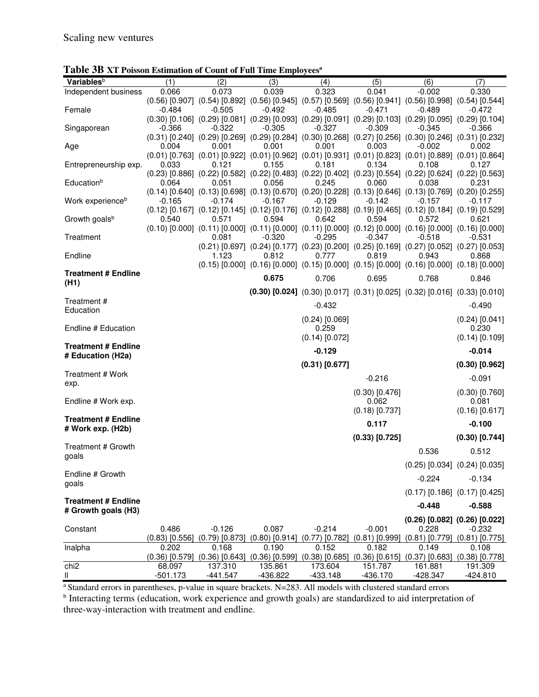| Variables <sup>b</sup>       | (1)              | (2)              | (3)      | (4)                                                                                                                                  | (5)              | (6)              | (7)                               |
|------------------------------|------------------|------------------|----------|--------------------------------------------------------------------------------------------------------------------------------------|------------------|------------------|-----------------------------------|
| Independent business         | 0.066            | 0.073            | 0.039    | 0.323                                                                                                                                | 0.041            | $-0.002$         | 0.330                             |
|                              |                  |                  |          | $(0.56)$ $[0.907]$ $(0.54)$ $[0.892]$ $(0.56)$ $[0.945]$ $(0.57)$ $[0.569]$ $(0.56)$ $[0.941]$ $(0.56)$ $[0.998]$ $(0.54)$ $[0.544]$ |                  |                  |                                   |
| Female                       | -0.484           | $-0.505$         | $-0.492$ | $-0.485$                                                                                                                             | $-0.471$         | $-0.489$         | $-0.472$                          |
|                              |                  |                  |          | $(0.30)$ $[0.106]$ $(0.29)$ $[0.081]$ $(0.29)$ $[0.093]$ $(0.29)$ $[0.091]$ $(0.29)$ $[0.103]$ $(0.29)$ $[0.095]$ $(0.29)$ $[0.104]$ |                  |                  |                                   |
| Singaporean                  | $-0.366$         | $-0.322$         | $-0.305$ | $-0.327$<br>$(0.31)$ [0.240] $(0.29)$ [0.269] $(0.29)$ [0.284] $(0.30)$ [0.268] $(0.27)$ [0.256] $(0.30)$ [0.246] $(0.31)$ [0.232]   | $-0.309$         | -0.345           | -0.366                            |
|                              | 0.004            | 0.001            | 0.001    | 0.001                                                                                                                                | 0.003            | $-0.002$         | 0.002                             |
| Age                          |                  |                  |          | $(0.01)$ [0.763] $(0.01)$ [0.922] $(0.01)$ [0.962] $(0.01)$ [0.931] $(0.01)$ [0.823] $(0.01)$ [0.889] $(0.01)$ [0.864]               |                  |                  |                                   |
| Entrepreneurship exp.        | 0.033            | 0.121            | 0.155    | 0.181                                                                                                                                | 0.134            | 0.108            | 0.127                             |
|                              |                  |                  |          | $(0.23)$ [0.886] $(0.22)$ [0.582] $(0.22)$ [0.483] $(0.22)$ [0.402] $(0.23)$ [0.554] $(0.22)$ [0.624] $(0.22)$ [0.563]               |                  |                  |                                   |
| Educationb                   | 0.064            | 0.051            | 0.056    | 0.245                                                                                                                                | 0.060            | 0.038            | 0.231                             |
|                              |                  |                  |          | $(0.14)$ [0.640] $(0.13)$ [0.698] $(0.13)$ [0.670] $(0.20)$ [0.228] $(0.13)$ [0.646] $(0.13)$ [0.769] $(0.20)$ [0.255]               |                  |                  |                                   |
| Work experience <sup>b</sup> | $-0.165$         | $-0.174$         | $-0.167$ | $-0.129$                                                                                                                             | $-0.142$         | $-0.157$         | $-0.117$                          |
|                              |                  |                  |          | $(0.12)$ [0.167] $(0.12)$ [0.145] $(0.12)$ [0.176] $(0.12)$ [0.288] $(0.19)$ [0.465] $(0.12)$ [0.184] $(0.19)$ [0.529]               |                  |                  |                                   |
| Growth goals <sup>b</sup>    | 0.540            | 0.571            | 0.594    | 0.642                                                                                                                                | 0.594            | 0.572            | 0.621                             |
|                              |                  |                  |          | $(0.10)$ $[0.000]$ $(0.11)$ $[0.000]$ $(0.11)$ $[0.000]$ $(0.11)$ $[0.000]$ $(0.12)$ $[0.000]$ $(0.16)$ $[0.000]$ $(0.16)$ $[0.000]$ |                  |                  |                                   |
| Treatment                    |                  | 0.081            | $-0.320$ | $-0.295$                                                                                                                             | $-0.347$         | $-0.518$         | -0.531                            |
|                              |                  |                  |          | $(0.21)$ [0.697] $(0.24)$ [0.177] $(0.23)$ [0.200] $(0.25)$ [0.169] $(0.27)$ [0.052] $(0.27)$ [0.053]                                |                  |                  |                                   |
| Endline                      |                  | 1.123            | 0.812    | 0.777                                                                                                                                | 0.819            | 0.943            | 0.868                             |
|                              |                  |                  |          | $(0.15)$ [0.000] $(0.16)$ [0.000] $(0.15)$ [0.000] $(0.15)$ [0.000] $(0.16)$ [0.000] $(0.18)$ [0.000]                                |                  |                  |                                   |
| <b>Treatment # Endline</b>   |                  |                  |          |                                                                                                                                      |                  |                  |                                   |
| (H1)                         |                  |                  | 0.675    | 0.706                                                                                                                                | 0.695            | 0.768            | 0.846                             |
|                              |                  |                  |          | $(0.30)$ [0.024] $(0.30)$ [0.017] $(0.31)$ [0.025] $(0.32)$ [0.016] $(0.33)$ [0.010]                                                 |                  |                  |                                   |
| Treatment #                  |                  |                  |          |                                                                                                                                      |                  |                  |                                   |
| Education                    |                  |                  |          | $-0.432$                                                                                                                             |                  |                  | $-0.490$                          |
|                              |                  |                  |          | $(0.24)$ [0.069]                                                                                                                     |                  |                  | $(0.24)$ [0.041]                  |
| Endline # Education          |                  |                  |          | 0.259                                                                                                                                |                  |                  | 0.230                             |
|                              |                  |                  |          | $(0.14)$ [0.072]                                                                                                                     |                  |                  | $(0.14)$ [0.109]                  |
| <b>Treatment # Endline</b>   |                  |                  |          | $-0.129$                                                                                                                             |                  |                  | $-0.014$                          |
| # Education (H2a)            |                  |                  |          |                                                                                                                                      |                  |                  |                                   |
|                              |                  |                  |          | $(0.31)$ [0.677]                                                                                                                     |                  |                  | $(0.30)$ [0.962]                  |
| Treatment # Work             |                  |                  |          |                                                                                                                                      | $-0.216$         |                  | $-0.091$                          |
| exp.                         |                  |                  |          |                                                                                                                                      |                  |                  |                                   |
|                              |                  |                  |          |                                                                                                                                      | $(0.30)$ [0.476] |                  | $(0.30)$ [0.760]                  |
| Endline # Work exp.          |                  |                  |          |                                                                                                                                      | 0.062            |                  | 0.081                             |
|                              |                  |                  |          |                                                                                                                                      | $(0.18)$ [0.737] |                  | $(0.16)$ [0.617]                  |
| <b>Treatment # Endline</b>   |                  |                  |          |                                                                                                                                      | 0.117            |                  | $-0.100$                          |
| # Work exp. (H2b)            |                  |                  |          |                                                                                                                                      |                  |                  |                                   |
|                              |                  |                  |          |                                                                                                                                      | $(0.33)$ [0.725] |                  | $(0.30)$ [0.744]                  |
| Treatment # Growth           |                  |                  |          |                                                                                                                                      |                  | 0.536            | 0.512                             |
| goals                        |                  |                  |          |                                                                                                                                      |                  |                  |                                   |
|                              |                  |                  |          |                                                                                                                                      |                  |                  | $(0.25)$ [0.034] $(0.24)$ [0.035] |
| Endline # Growth             |                  |                  |          |                                                                                                                                      |                  | $-0.224$         | $-0.134$                          |
| goals                        |                  |                  |          |                                                                                                                                      |                  |                  |                                   |
|                              |                  |                  |          |                                                                                                                                      |                  |                  | $(0.17)$ [0.186] $(0.17)$ [0.425] |
| <b>Treatment # Endline</b>   |                  |                  |          |                                                                                                                                      |                  | $-0.448$         | $-0.588$                          |
| # Growth goals (H3)          |                  |                  |          |                                                                                                                                      |                  |                  |                                   |
|                              |                  |                  |          |                                                                                                                                      |                  |                  | $(0.26)$ [0.082] $(0.26)$ [0.022] |
| Constant                     | 0.486            | $-0.126$         | 0.087    | $-0.214$                                                                                                                             | $-0.001$         | 0.228            | $-0.232$                          |
|                              | (0.83) [0.556]   | $(0.79)$ [0.873] |          | $(0.80)$ [0.914] $(0.77)$ [0.782]                                                                                                    | $(0.81)$ [0.999] | $(0.81)$ [0.779] | $(0.81)$ [0.775]                  |
| Inalpha                      | 0.202            | 0.168            | 0.190    | 0.152                                                                                                                                | 0.182            | 0.149            | 0.108                             |
|                              | $(0.36)$ [0.579] | $(0.36)$ [0.643] |          | $(0.36)$ [0.599] $(0.38)$ [0.685]                                                                                                    | $(0.36)$ [0.615] | $(0.37)$ [0.683] | $(0.38)$ [0.778]                  |
| chi <sub>2</sub>             | 68.097           | 137.310          | 135.861  | 173.604                                                                                                                              | 151.787          | 161.881          | 191.309                           |
| Ш                            | $-501.173$       | $-441.547$       | -436.822 | $-433.148$                                                                                                                           | $-436.170$       | $-428.347$       | $-424.810$                        |

## **Table 3B XT Poisson Estimation of Count of Full Time Employees<sup>a</sup>**

<sup>a</sup> Standard errors in parentheses, p-value in square brackets. N=283. All models with clustered standard errors

<sup>b</sup> Interacting terms (education, work experience and growth goals) are standardized to aid interpretation of three-way-interaction with treatment and endline.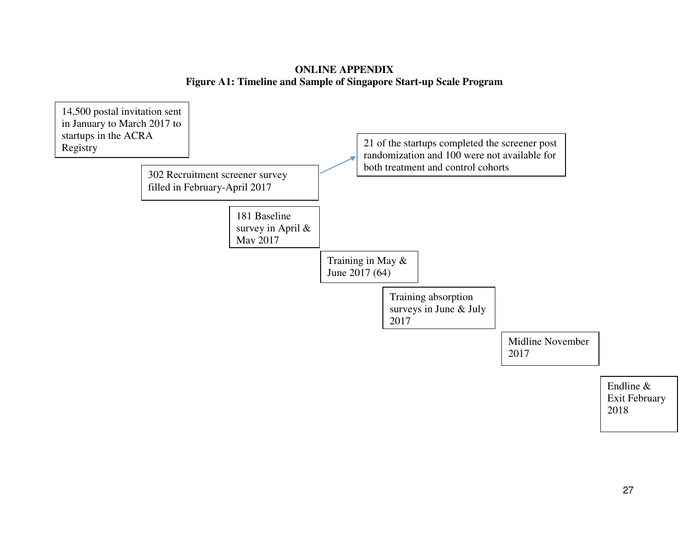## **ONLINE APPENDIX Figure A1: Timeline and Sample of Singapore Start-up Scale Program**

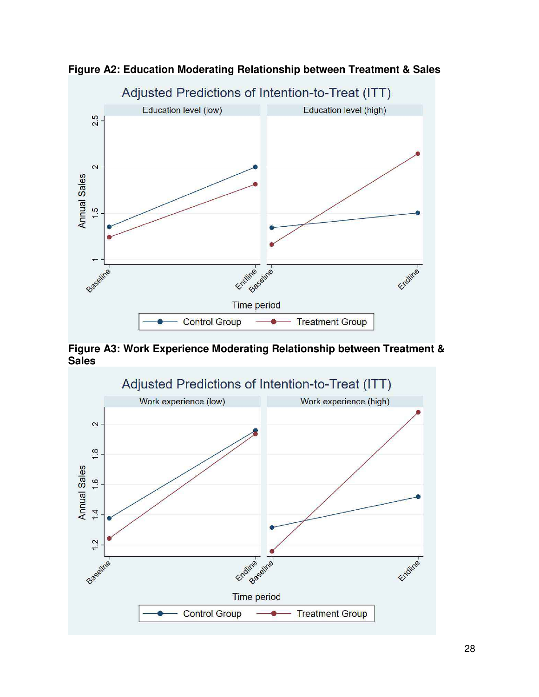

**Figure A2: Education Moderating Relationship between Treatment & Sales** 

**Figure A3: Work Experience Moderating Relationship between Treatment & Sales** 

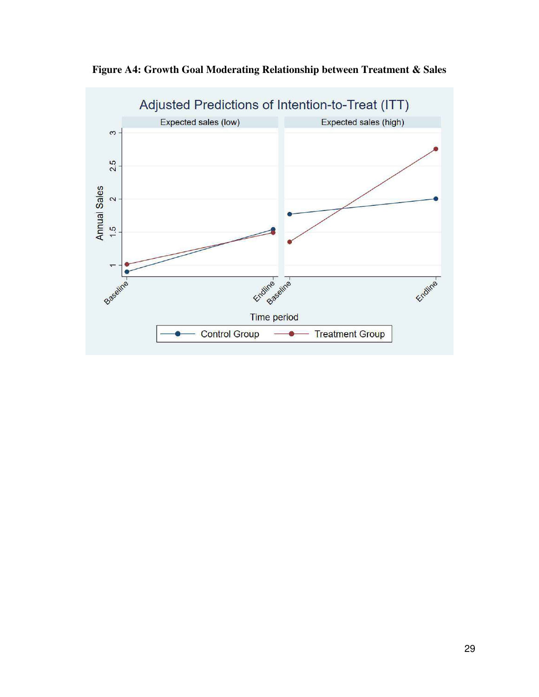

**Figure A4: Growth Goal Moderating Relationship between Treatment & Sales**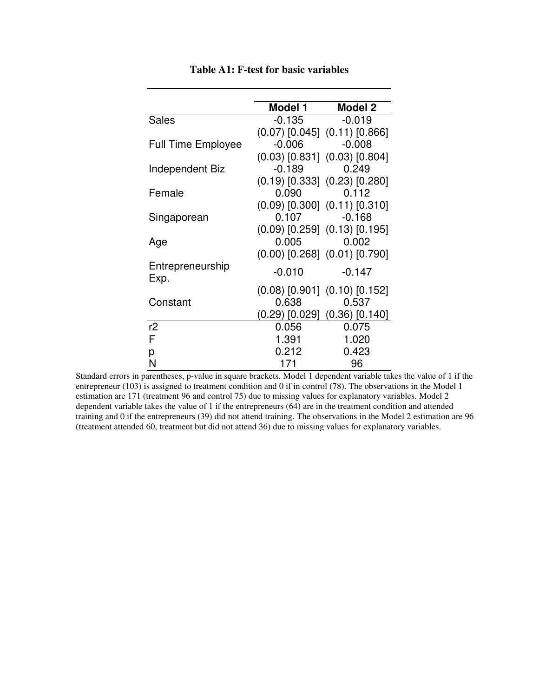|                           | Model 1  | Model 2                               |
|---------------------------|----------|---------------------------------------|
| <b>Sales</b>              | -0.135   | $-0.019$                              |
|                           |          | $(0.07)$ [0.045] $(0.11)$ [0.866]     |
| <b>Full Time Employee</b> | $-0.006$ | $-0.008$                              |
|                           |          | $(0.03)$ [0.831] $(0.03)$ [0.804]     |
| Independent Biz           | $-0.189$ | 0.249                                 |
|                           |          | $(0.19)$ [0.333] $(0.23)$ [0.280]     |
| Female                    | 0.090    | 0.112                                 |
|                           |          | $(0.09)$ [0.300] $(0.11)$ [0.310]     |
| Singaporean               |          | $0.107 -0.168$                        |
|                           |          | $(0.09)$ [0.259] $(0.13)$ [0.195]     |
| Age                       | 0.005    | 0.002                                 |
|                           |          | $(0.00)$ [0.268] $(0.01)$ [0.790]     |
| Entrepreneurship<br>Exp.  | $-0.010$ | $-0.147$                              |
|                           |          | $(0.08)$ [0.901] $(0.10)$ [0.152]     |
| Constant                  | 0.638    | 0.537                                 |
|                           |          | $(0.29)$ $[0.029]$ $(0.36)$ $[0.140]$ |
| r2                        | 0.056    | 0.075                                 |
| F                         | 1.391    | 1.020                                 |
| р                         | 0.212    | 0.423                                 |
| N                         | 171      | 96                                    |

**Table A1: F-test for basic variables** 

Standard errors in parentheses, p-value in square brackets. Model 1 dependent variable takes the value of 1 if the entrepreneur (103) is assigned to treatment condition and 0 if in control (78). The observations in the Model 1 estimation are 171 (treatment 96 and control 75) due to missing values for explanatory variables. Model 2 dependent variable takes the value of 1 if the entrepreneurs (64) are in the treatment condition and attended training and 0 if the entrepreneurs (39) did not attend training. The observations in the Model 2 estimation are 96 (treatment attended 60, treatment but did not attend 36) due to missing values for explanatory variables.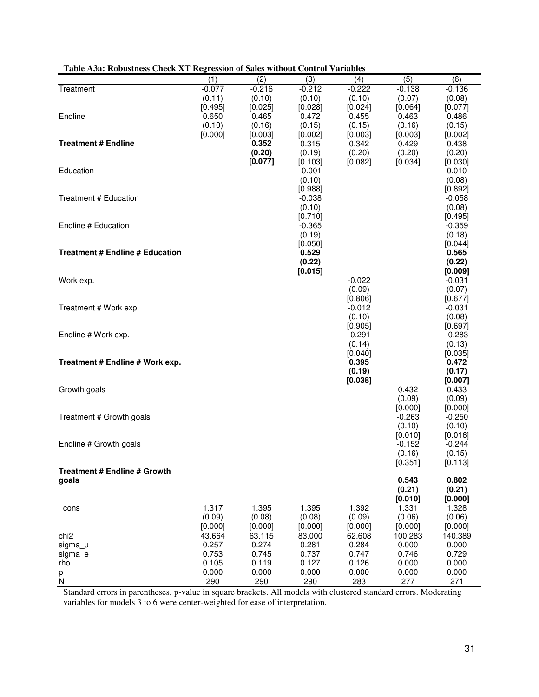|                                        | (1)            | (2)            | (3)               | (4)               | (5)                 | (6)                 |
|----------------------------------------|----------------|----------------|-------------------|-------------------|---------------------|---------------------|
| Treatment                              | $-0.077$       | $-0.216$       | $-0.212$          | $-0.222$          | $-0.138$            | $-0.136$            |
|                                        | (0.11)         | (0.10)         | (0.10)            | (0.10)            | (0.07)              | (0.08)              |
|                                        | [0.495]        | [0.025]        | [0.028]           | [0.024]           | [0.064]             | [0.077]             |
| Endline                                | 0.650          | 0.465          | 0.472             | 0.455             | 0.463               | 0.486               |
|                                        | (0.10)         | (0.16)         | (0.15)            | (0.15)            | (0.16)              | (0.15)              |
|                                        | [0.000]        | [0.003]        | [0.002]           | [0.003]           | [0.003]             | [0.002]             |
| <b>Treatment # Endline</b>             |                | 0.352          | 0.315             | 0.342             | 0.429               | 0.438               |
|                                        |                | (0.20)         | (0.19)            | (0.20)            | (0.20)              | (0.20)              |
|                                        |                | [0.077]        | [0.103]           | [0.082]           | [0.034]             | [0.030]             |
| Education                              |                |                | $-0.001$          |                   |                     | 0.010               |
|                                        |                |                | (0.10)<br>[0.988] |                   |                     | (0.08)<br>[0.892]   |
| Treatment # Education                  |                |                | $-0.038$          |                   |                     | $-0.058$            |
|                                        |                |                | (0.10)            |                   |                     | (0.08)              |
|                                        |                |                | [0.710]           |                   |                     | [0.495]             |
| Endline # Education                    |                |                | $-0.365$          |                   |                     | $-0.359$            |
|                                        |                |                | (0.19)            |                   |                     | (0.18)              |
|                                        |                |                | [0.050]           |                   |                     | [0.044]             |
| <b>Treatment # Endline # Education</b> |                |                | 0.529             |                   |                     | 0.565               |
|                                        |                |                | (0.22)            |                   |                     | (0.22)              |
|                                        |                |                | [0.015]           |                   |                     | [0.009]             |
| Work exp.                              |                |                |                   | $-0.022$          |                     | $-0.031$            |
|                                        |                |                |                   | (0.09)            |                     | (0.07)              |
|                                        |                |                |                   | [0.806]           |                     | [0.677]             |
| Treatment # Work exp.                  |                |                |                   | $-0.012$          |                     | $-0.031$            |
|                                        |                |                |                   | (0.10)<br>[0.905] |                     | (0.08)<br>[0.697]   |
| Endline # Work exp.                    |                |                |                   | $-0.291$          |                     | $-0.283$            |
|                                        |                |                |                   | (0.14)            |                     | (0.13)              |
|                                        |                |                |                   | [0.040]           |                     | [0.035]             |
| Treatment # Endline # Work exp.        |                |                |                   | 0.395             |                     | 0.472               |
|                                        |                |                |                   | (0.19)            |                     | (0.17)              |
|                                        |                |                |                   | [0.038]           |                     | [0.007]             |
| Growth goals                           |                |                |                   |                   | 0.432               | 0.433               |
|                                        |                |                |                   |                   | (0.09)              | (0.09)              |
|                                        |                |                |                   |                   | [0.000]             | [0.000]             |
| Treatment # Growth goals               |                |                |                   |                   | $-0.263$            | $-0.250$            |
|                                        |                |                |                   |                   | (0.10)              | (0.10)              |
| Endline # Growth goals                 |                |                |                   |                   | [0.010]<br>$-0.152$ | [0.016]<br>$-0.244$ |
|                                        |                |                |                   |                   | (0.16)              | (0.15)              |
|                                        |                |                |                   |                   | [0.351]             | [0.113]             |
| <b>Treatment # Endline # Growth</b>    |                |                |                   |                   |                     |                     |
| goals                                  |                |                |                   |                   | 0.543               | 0.802               |
|                                        |                |                |                   |                   | (0.21)              | (0.21)              |
|                                        |                |                |                   |                   | [0.010]             | [0.000]             |
| $\_cons$                               | 1.317          | 1.395          | 1.395             | 1.392             | 1.331               | 1.328               |
|                                        | (0.09)         | (0.08)         | (0.08)            | (0.09)            | (0.06)              | (0.06)              |
|                                        | [0.000]        | [0.000]        | [0.000]           | [0.000]           | [0.000]             | [0.000]             |
| chi <sub>2</sub>                       | 43.664         | 63.115         | 83.000            | 62.608            | 100.283             | 140.389             |
| sigma u                                | 0.257<br>0.753 | 0.274<br>0.745 | 0.281<br>0.737    | 0.284<br>0.747    | 0.000<br>0.746      | 0.000<br>0.729      |
| sigma_e<br>rho                         | 0.105          | 0.119          | 0.127             | 0.126             | 0.000               | 0.000               |
| р                                      | 0.000          | 0.000          | 0.000             | 0.000             | 0.000               | 0.000               |
| N <sub>1</sub>                         | 290            | 290            | 290               | 283               | 277                 | 271                 |

## **Table A3a: Robustness Check XT Regression of Sales without Control Variables**

Standard errors in parentheses, p-value in square brackets. All models with clustered standard errors. Moderating variables for models 3 to 6 were center-weighted for ease of interpretation.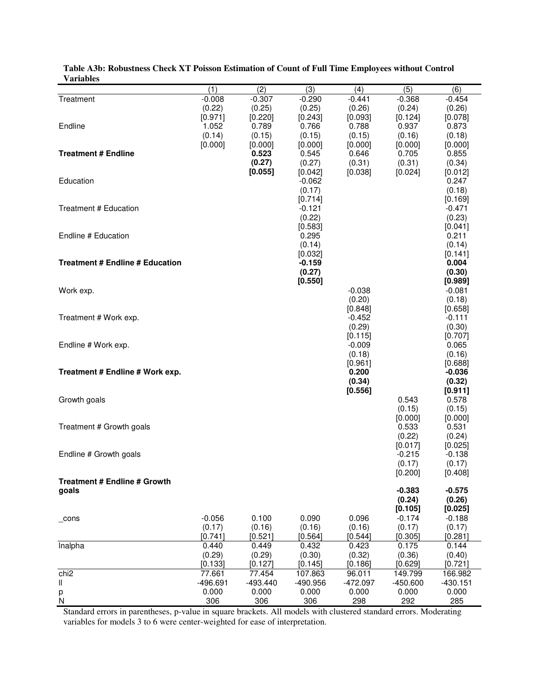|                                        | (1)               | (2)             | (3)                 | (4)                 | (5)                | (6)                 |
|----------------------------------------|-------------------|-----------------|---------------------|---------------------|--------------------|---------------------|
| Treatment                              | $-0.008$          | $-0.307$        | $-0.290$            | $-0.441$            | $-0.368$           | $-0.454$            |
|                                        | (0.22)            | (0.25)          | (0.25)              | (0.26)              | (0.24)             | (0.26)              |
|                                        | [0.971]           | [0.220]         | [0.243]             | [0.093]             | [0.124]            | [0.078]             |
| Endline                                | 1.052<br>(0.14)   | 0.789<br>(0.15) | 0.766<br>(0.15)     | 0.788<br>(0.15)     | 0.937<br>(0.16)    | 0.873<br>(0.18)     |
|                                        | [0.000]           | [0.000]         | [0.000]             | [0.000]             | [0.000]            | [0.000]             |
| <b>Treatment # Endline</b>             |                   | 0.523           | 0.545               | 0.646               | 0.705              | 0.855               |
|                                        |                   | (0.27)          | (0.27)              | (0.31)              | (0.31)             | (0.34)              |
|                                        |                   | [0.055]         | [0.042]             | [0.038]             | [0.024]            | [0.012]             |
| Education                              |                   |                 | $-0.062$            |                     |                    | 0.247               |
|                                        |                   |                 | (0.17)<br>[0.714]   |                     |                    | (0.18)<br>[0.169]   |
| Treatment # Education                  |                   |                 | $-0.121$            |                     |                    | $-0.471$            |
|                                        |                   |                 | (0.22)              |                     |                    | (0.23)              |
|                                        |                   |                 | [0.583]             |                     |                    | [0.041]             |
| Endline # Education                    |                   |                 | 0.295               |                     |                    | 0.211               |
|                                        |                   |                 | (0.14)              |                     |                    | (0.14)              |
| <b>Treatment # Endline # Education</b> |                   |                 | [0.032]<br>$-0.159$ |                     |                    | [0.141]<br>0.004    |
|                                        |                   |                 | (0.27)              |                     |                    | (0.30)              |
|                                        |                   |                 | [0.550]             |                     |                    | [0.989]             |
| Work exp.                              |                   |                 |                     | $-0.038$            |                    | $-0.081$            |
|                                        |                   |                 |                     | (0.20)              |                    | (0.18)              |
|                                        |                   |                 |                     | [0.848]<br>$-0.452$ |                    | [0.658]<br>$-0.111$ |
| Treatment # Work exp.                  |                   |                 |                     | (0.29)              |                    | (0.30)              |
|                                        |                   |                 |                     | [0.115]             |                    | [0.707]             |
| Endline # Work exp.                    |                   |                 |                     | $-0.009$            |                    | 0.065               |
|                                        |                   |                 |                     | (0.18)              |                    | (0.16)              |
|                                        |                   |                 |                     | [0.961]             |                    | [0.688]             |
| Treatment # Endline # Work exp.        |                   |                 |                     | 0.200<br>(0.34)     |                    | $-0.036$<br>(0.32)  |
|                                        |                   |                 |                     | [0.556]             |                    | [0.911]             |
| Growth goals                           |                   |                 |                     |                     | 0.543              | 0.578               |
|                                        |                   |                 |                     |                     | (0.15)             | (0.15)              |
|                                        |                   |                 |                     |                     | [0.000]            | [0.000]             |
| Treatment # Growth goals               |                   |                 |                     |                     | 0.533              | 0.531               |
|                                        |                   |                 |                     |                     | (0.22)<br>[0.017]  | (0.24)<br>[0.025]   |
| Endline # Growth goals                 |                   |                 |                     |                     | $-0.215$           | $-0.138$            |
|                                        |                   |                 |                     |                     | (0.17)             | (0.17)              |
|                                        |                   |                 |                     |                     | [0.200]            | [0.408]             |
| <b>Treatment # Endline # Growth</b>    |                   |                 |                     |                     |                    |                     |
| goals                                  |                   |                 |                     |                     | $-0.383$<br>(0.24) | $-0.575$<br>(0.26)  |
|                                        |                   |                 |                     |                     | [0.105]            | [0.025]             |
| $\_cons$                               | $-0.056$          | 0.100           | 0.090               | 0.096               | $-0.174$           | $-0.188$            |
|                                        | (0.17)            | (0.16)          | (0.16)              | (0.16)              | (0.17)             | (0.17)              |
|                                        | [0.741]           | [0.521]         | [0.564]             | [0.544]             | [0.305]            | [0.281]             |
| Inalpha                                | 0.440             | 0.449<br>(0.29) | 0.432               | 0.423               | 0.175              | 0.144               |
|                                        | (0.29)<br>[0.133] | [0.127]         | (0.30)<br>[0.145]   | (0.32)<br>[0.186]   | (0.36)<br>[0.629]  | (0.40)<br>[0.721]   |
| chi <sub>2</sub>                       | 77.661            | 77.454          | 107.863             | 96.011              | 149.799            | 166.982             |
| Ш                                      | -496.691          | $-493.440$      | -490.956            | $-472.097$          | $-450.600$         | $-430.151$          |
| р                                      | 0.000             | 0.000           | 0.000               | 0.000               | 0.000              | 0.000               |
| ${\sf N}$                              | 306               | 306             | 306                 | 298                 | 292                | 285                 |

**Table A3b: Robustness Check XT Poisson Estimation of Count of Full Time Employees without Control Variables** 

Standard errors in parentheses, p-value in square brackets. All models with clustered standard errors. Moderating variables for models 3 to 6 were center-weighted for ease of interpretation.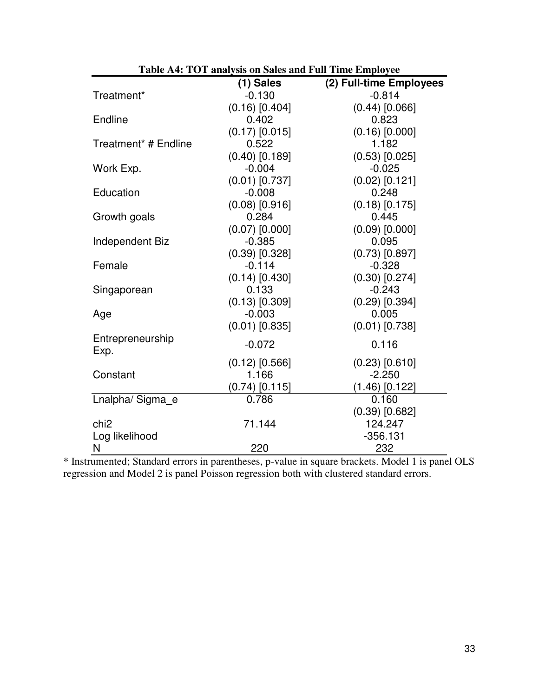|                                  | (1) Sales        | (2) Full-time Employees |
|----------------------------------|------------------|-------------------------|
| Treatment*                       | $-0.130$         | $-0.814$                |
|                                  | $(0.16)$ [0.404] | $(0.44)$ [0.066]        |
| Endline                          | 0.402            | 0.823                   |
|                                  | $(0.17)$ [0.015] | $(0.16)$ [0.000]        |
| Treatment <sup>*</sup> # Endline | 0.522            | 1.182                   |
|                                  | $(0.40)$ [0.189] | $(0.53)$ [0.025]        |
| Work Exp.                        | $-0.004$         | $-0.025$                |
|                                  | $(0.01)$ [0.737] | $(0.02)$ [0.121]        |
| Education                        | $-0.008$         | 0.248                   |
|                                  | $(0.08)$ [0.916] | $(0.18)$ [0.175]        |
| Growth goals                     | 0.284            | 0.445                   |
|                                  | $(0.07)$ [0.000] | $(0.09)$ [0.000]        |
| Independent Biz                  | $-0.385$         | 0.095                   |
|                                  | $(0.39)$ [0.328] | $(0.73)$ [0.897]        |
| Female                           | $-0.114$         | $-0.328$                |
|                                  | $(0.14)$ [0.430] | $(0.30)$ [0.274]        |
| Singaporean                      | 0.133            | $-0.243$                |
|                                  | $(0.13)$ [0.309] | $(0.29)$ [0.394]        |
| Age                              | $-0.003$         | 0.005                   |
|                                  | $(0.01)$ [0.835] | $(0.01)$ [0.738]        |
| Entrepreneurship                 | $-0.072$         | 0.116                   |
| Exp.                             |                  |                         |
|                                  | $(0.12)$ [0.566] | $(0.23)$ [0.610]        |
| Constant                         | 1.166            | $-2.250$                |
|                                  | $(0.74)$ [0.115] | $(1.46)$ [0.122]        |
| Lnalpha/Sigma e                  | 0.786            | 0.160                   |
|                                  |                  | $(0.39)$ [0.682]        |
| chi <sub>2</sub>                 | 71.144           | 124.247                 |
| Log likelihood                   |                  | $-356.131$              |
| N                                | 220              | 232                     |

\* Instrumented; Standard errors in parentheses, p-value in square brackets. Model 1 is panel OLS regression and Model 2 is panel Poisson regression both with clustered standard errors.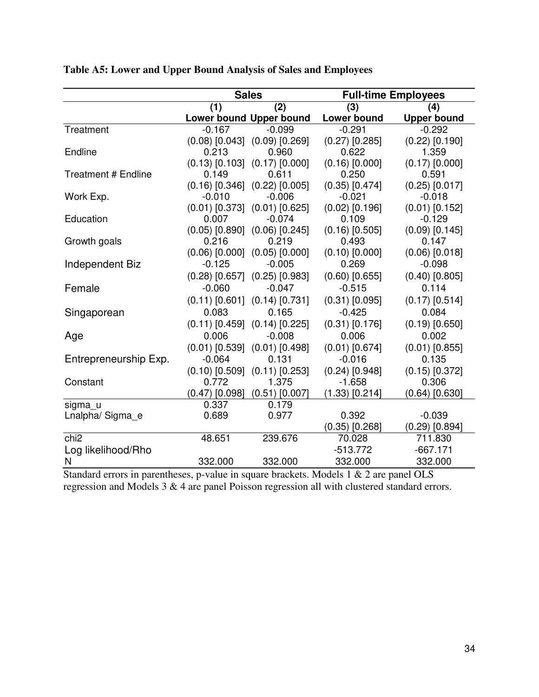|                            |                    | <b>Sales</b>                          |                    | <b>Full-time Employees</b> |
|----------------------------|--------------------|---------------------------------------|--------------------|----------------------------|
|                            | (1)                | (2)                                   | (3)                | (4)                        |
|                            |                    | Lower bound Upper bound               | <b>Lower bound</b> | <b>Upper bound</b>         |
| Treatment                  | $-0.167$           | $-0.099$                              | $-0.291$           | $-0.292$                   |
|                            |                    | $(0.08)$ [0.043] $(0.09)$ [0.269]     | $(0.27)$ [0.285]   | $(0.22)$ [0.190]           |
| Endline                    | 0.213              | 0.960                                 | 0.622              | 1.359                      |
|                            | $(0.13)$ $[0.103]$ | $(0.17)$ [0.000]                      | $(0.16)$ $[0.000]$ | $(0.17)$ [0.000]           |
| <b>Treatment # Endline</b> | 0.149              | 0.611                                 | 0.250              | 0.591                      |
|                            | $(0.16)$ $[0.346]$ | $(0.22)$ $[0.005]$                    | $(0.35)$ $[0.474]$ | $(0.25)$ [0.017]           |
| Work Exp.                  | $-0.010$           | $-0.006$                              | $-0.021$           | $-0.018$                   |
|                            |                    | $(0.01)$ [0.373] $(0.01)$ [0.625]     | $(0.02)$ [0.196]   | $(0.01)$ [0.152]           |
| Education                  | 0.007              | $-0.074$                              | 0.109              | $-0.129$                   |
|                            | $(0.05)$ $[0.890]$ | $(0.06)$ [0.245]                      | $(0.16)$ [0.505]   | $(0.09)$ $[0.145]$         |
| Growth goals               | 0.216              | 0.219                                 | 0.493              | 0.147                      |
|                            |                    | $(0.06)$ $[0.000]$ $(0.05)$ $[0.000]$ | $(0.10)$ $[0.000]$ | $(0.06)$ [0.018]           |
| Independent Biz            | $-0.125$           | $-0.005$                              | 0.269              | $-0.098$                   |
|                            | $(0.28)$ [0.657]   | $(0.25)$ [0.983]                      | $(0.60)$ [0.655]   | $(0.40)$ [0.805]           |
| Female                     | $-0.060$           | $-0.047$                              | $-0.515$           | 0.114                      |
|                            |                    | $(0.11)$ [0.601] $(0.14)$ [0.731]     | $(0.31)$ [0.095]   | $(0.17)$ [0.514]           |
| Singaporean                | 0.083              | 0.165                                 | $-0.425$           | 0.084                      |
|                            | $(0.11)$ [0.459]   | $(0.14)$ [0.225]                      | $(0.31)$ $[0.176]$ | $(0.19)$ [0.650]           |
| Age                        | 0.006              | $-0.008$                              | 0.006              | 0.002                      |
|                            | $(0.01)$ [0.539]   | $(0.01)$ [0.498]                      | $(0.01)$ [0.674]   | $(0.01)$ [0.855]           |
| Entrepreneurship Exp.      | $-0.064$           | 0.131                                 | $-0.016$           | 0.135                      |
|                            | $(0.10)$ $[0.509]$ | $(0.11)$ [0.253]                      | $(0.24)$ [0.948]   | $(0.15)$ [0.372]           |
| Constant                   | 0.772              | 1.375                                 | $-1.658$           | 0.306                      |
|                            | $(0.47)$ [0.098]   | $(0.51)$ [0.007]                      | $(1.33)$ $[0.214]$ | $(0.64)$ [0.630]           |
| sigma_u                    | 0.337              | 0.179                                 |                    |                            |
| Lnalpha/Sigma_e            | 0.689              | 0.977                                 | 0.392              | $-0.039$                   |
|                            |                    |                                       | $(0.35)$ [0.268]   | $(0.29)$ [0.894]           |
| chi <sub>2</sub>           | 48.651             | 239.676                               | 70.028             | 711.830                    |
| Log likelihood/Rho         |                    |                                       | $-513.772$         | $-667.171$                 |
| N                          | 332.000            | 332.000                               | 332.000            | 332.000                    |

| Table A5: Lower and Upper Bound Analysis of Sales and Employees |  |  |
|-----------------------------------------------------------------|--|--|
|                                                                 |  |  |

Standard errors in parentheses, p-value in square brackets. Models 1 & 2 are panel OLS regression and Models 3 & 4 are panel Poisson regression all with clustered standard errors.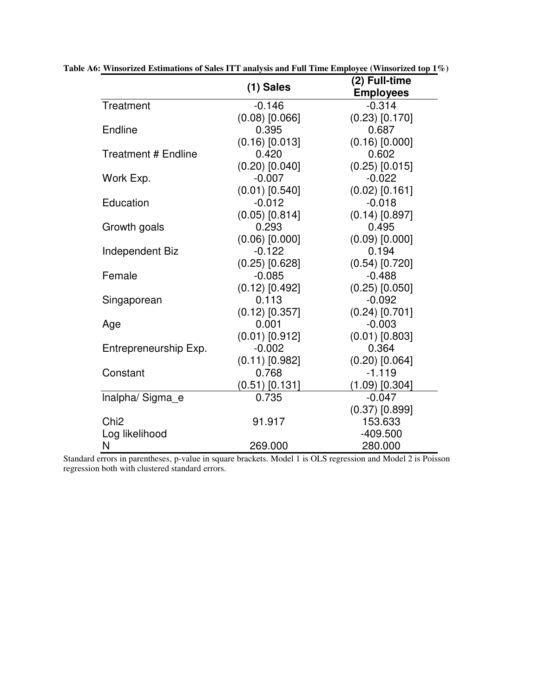|                            | $(1)$ Sales        | (2) Full-time<br><b>Employees</b> |
|----------------------------|--------------------|-----------------------------------|
| Treatment                  | $-0.146$           | $-0.314$                          |
|                            | $(0.08)$ [0.066]   | $(0.23)$ $[0.170]$                |
| Endline                    | 0.395              | 0.687                             |
|                            | $(0.16)$ [0.013]   | $(0.16)$ [0.000]                  |
| <b>Treatment # Endline</b> | 0.420              | 0.602                             |
|                            | $(0.20)$ [0.040]   | $(0.25)$ [0.015]                  |
| Work Exp.                  | $-0.007$           | $-0.022$                          |
|                            | $(0.01)$ [0.540]   | $(0.02)$ [0.161]                  |
| Education                  | $-0.012$           | $-0.018$                          |
|                            | $(0.05)$ [0.814]   | $(0.14)$ [0.897]                  |
| Growth goals               | 0.293              | 0.495                             |
|                            | $(0.06)$ $[0.000]$ | $(0.09)$ [0.000]                  |
| Independent Biz            | $-0.122$           | 0.194                             |
|                            | $(0.25)$ [0.628]   | $(0.54)$ [0.720]                  |
| Female                     | $-0.085$           | $-0.488$                          |
|                            | $(0.12)$ [0.492]   | $(0.25)$ [0.050]                  |
| Singaporean                | 0.113              | $-0.092$                          |
|                            | $(0.12)$ [0.357]   | $(0.24)$ [0.701]                  |
| Age                        | 0.001              | $-0.003$                          |
|                            | $(0.01)$ [0.912]   | $(0.01)$ [0.803]                  |
| Entrepreneurship Exp.      | $-0.002$           | 0.364                             |
|                            | $(0.11)$ [0.982]   | $(0.20)$ [0.064]                  |
| Constant                   | 0.768              | $-1.119$                          |
|                            | $(0.51)$ [0.131]   | $(1.09)$ [0.304]                  |
| Inalpha/Sigma e            | 0.735              | $-0.047$                          |
|                            |                    | $(0.37)$ [0.899]                  |
| Chi <sub>2</sub>           | 91.917             | 153.633                           |
| Log likelihood             |                    | $-409.500$                        |
| N                          | 269.000            | 280.000                           |

**Table A6: Winsorized Estimations of Sales ITT analysis and Full Time Employee (Winsorized top 1%)** 

Standard errors in parentheses, p-value in square brackets. Model 1 is OLS regression and Model 2 is Poisson regression both with clustered standard errors.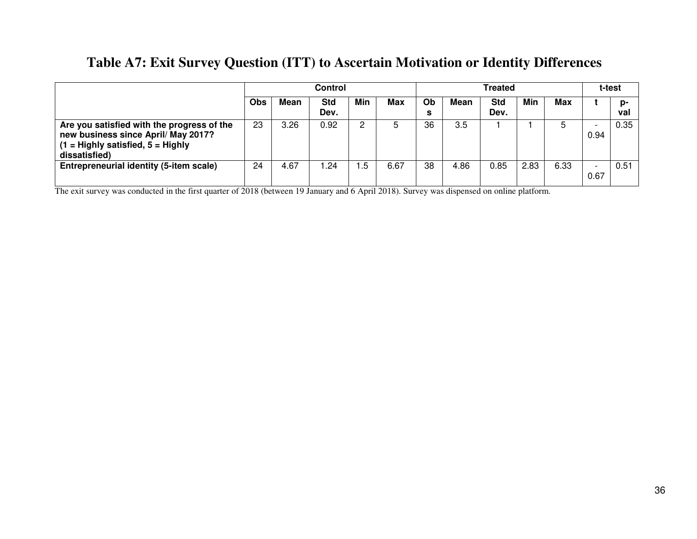# **Table A7: Exit Survey Question (ITT) to Ascertain Motivation or Identity Differences**

|                                                                                                                                             | <b>Control</b> |      |                    |      |      | Treated |      |             |      |      | t-test                           |           |
|---------------------------------------------------------------------------------------------------------------------------------------------|----------------|------|--------------------|------|------|---------|------|-------------|------|------|----------------------------------|-----------|
|                                                                                                                                             | <b>Obs</b>     | Mean | <b>Std</b><br>Dev. | Min  | Max  | Ob<br>s | Mean | Std<br>Dev. | Min  | Max  |                                  | n-<br>val |
| Are you satisfied with the progress of the<br>new business since April/ May 2017?<br>$(1 =$ Highly satisfied, $5 =$ Highly<br>dissatisfied) | 23             | 3.26 | 0.92               | 2    | 5    | 36      | 3.5  |             |      |      | <b>.</b><br>0.94                 | 0.35      |
| Entrepreneurial identity (5-item scale)                                                                                                     | 24             | 4.67 | .24                | . .5 | 6.67 | 38      | 4.86 | 0.85        | 2.83 | 6.33 | $\overline{\phantom{0}}$<br>0.67 | 0.51      |

The exit survey was conducted in the first quarter of 2018 (between 19 January and 6 April 2018). Survey was dispensed on online platform.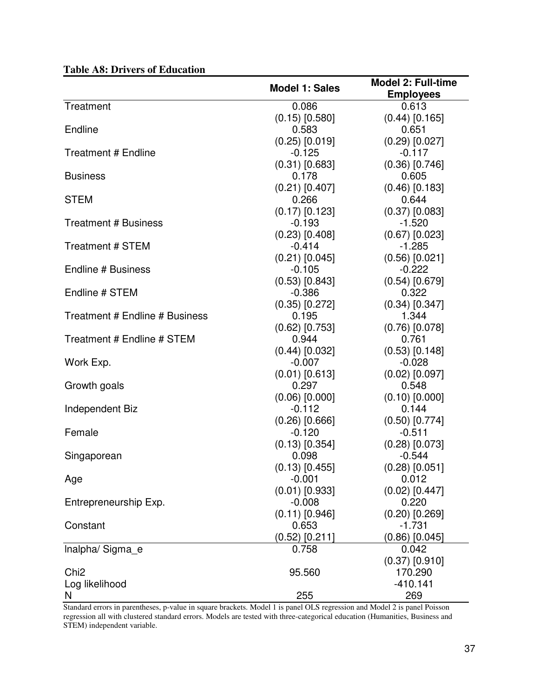|                                |                       | <b>Model 2: Full-time</b> |
|--------------------------------|-----------------------|---------------------------|
|                                | <b>Model 1: Sales</b> | <b>Employees</b>          |
| Treatment                      | 0.086                 | 0.613                     |
|                                | $(0.15)$ [0.580]      | $(0.44)$ [0.165]          |
| Endline                        | 0.583                 | 0.651                     |
|                                | $(0.25)$ $[0.019]$    | $(0.29)$ [0.027]          |
| <b>Treatment # Endline</b>     | $-0.125$              | $-0.117$                  |
|                                | $(0.31)$ [0.683]      | $(0.36)$ [0.746]          |
| <b>Business</b>                | 0.178                 | 0.605                     |
|                                | $(0.21)$ [0.407]      | $(0.46)$ [0.183]          |
| <b>STEM</b>                    | 0.266                 | 0.644                     |
|                                | $(0.17)$ $[0.123]$    | $(0.37)$ [0.083]          |
| <b>Treatment # Business</b>    | $-0.193$              | $-1.520$                  |
|                                | $(0.23)$ $[0.408]$    | $(0.67)$ [0.023]          |
| Treatment # STEM               | $-0.414$              | $-1.285$                  |
|                                | $(0.21)$ [0.045]      | $(0.56)$ [0.021]          |
| Endline # Business             | $-0.105$              | $-0.222$                  |
|                                | $(0.53)$ $[0.843]$    | $(0.54)$ [0.679]          |
| Endline # STEM                 | $-0.386$              | 0.322                     |
|                                | $(0.35)$ $[0.272]$    | $(0.34)$ [0.347]          |
| Treatment # Endline # Business | 0.195                 | 1.344                     |
|                                | $(0.62)$ [0.753]      | $(0.76)$ [0.078]          |
| Treatment # Endline # STEM     | 0.944                 | 0.761                     |
|                                | $(0.44)$ [0.032]      | $(0.53)$ [0.148]          |
| Work Exp.                      | $-0.007$              | $-0.028$                  |
|                                | $(0.01)$ [0.613]      | $(0.02)$ [0.097]          |
| Growth goals                   | 0.297                 | 0.548                     |
|                                | $(0.06)$ $[0.000]$    | $(0.10)$ [0.000]          |
| Independent Biz                | $-0.112$              | 0.144                     |
|                                | $(0.26)$ [0.666]      | $(0.50)$ [0.774]          |
| Female                         | $-0.120$              | $-0.511$                  |
|                                | $(0.13)$ [0.354]      | $(0.28)$ [0.073]          |
| Singaporean                    | 0.098                 | $-0.544$                  |
|                                | $(0.13)$ $[0.455]$    | $(0.28)$ $[0.051]$        |
| Age                            | $-0.001$              | 0.012                     |
|                                | $(0.01)$ [0.933]      | $(0.02)$ [0.447]          |
| Entrepreneurship Exp.          | $-0.008$              | 0.220                     |
|                                | $(0.11)$ [0.946]      | $(0.20)$ [0.269]          |
| Constant                       | 0.653                 | $-1.731$                  |
|                                | (0.52) [0.211]        | (0.86) [0.045]            |
| Inalpha/Sigma e                | 0.758                 | 0.042                     |
|                                |                       | $(0.37)$ [0.910]          |
| Chi <sub>2</sub>               | 95.560                | 170.290                   |
| Log likelihood                 |                       | $-410.141$                |
| N                              | 255                   | 269                       |

# **Table A8: Drivers of Education**

Standard errors in parentheses, p-value in square brackets. Model 1 is panel OLS regression and Model 2 is panel Poisson regression all with clustered standard errors. Models are tested with three-categorical education (Humanities, Business and STEM) independent variable.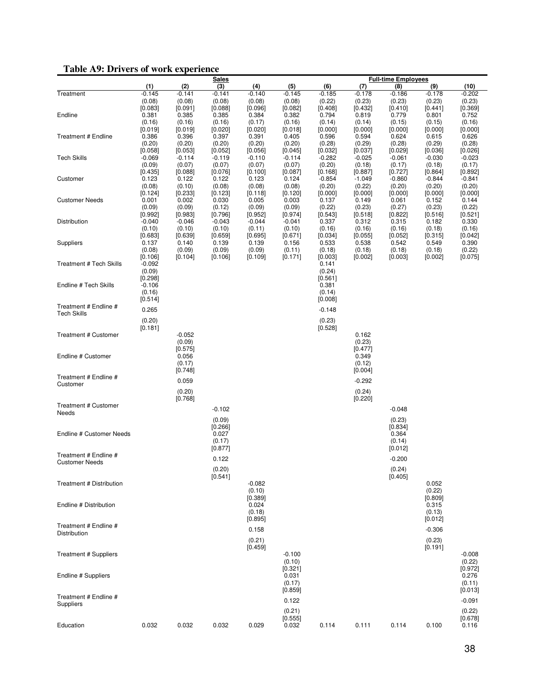## **Table A9: Drivers of work experience**

|                                      | radio A). Drivers or work caperience<br><u>Sales</u> |                    |                     |                    |                     | <b>Full-time Employees</b> |                    |                    |                    |                    |  |  |
|--------------------------------------|------------------------------------------------------|--------------------|---------------------|--------------------|---------------------|----------------------------|--------------------|--------------------|--------------------|--------------------|--|--|
|                                      | (1)                                                  | (2)                | (3)                 | (4)                | (5)                 | (6)                        | (7)                | (8)                | (9)                | (10)               |  |  |
| Treatment                            | $-0.145$                                             | $-0.141$           | $-0.141$            | $-0.140$           | $-0.145$            | $-0.185$                   | $-0.178$           | $-0.186$           | $-0.178$           | $-0.202$           |  |  |
|                                      | (0.08)                                               | (0.08)             | (0.08)              | (0.08)             | (0.08)              | (0.22)                     | (0.23)             | (0.23)             | (0.23)             | (0.23)             |  |  |
| Endline                              | [0.083]<br>0.381                                     | [0.091]<br>0.385   | [0.088]<br>0.385    | [0.096]<br>0.384   | [0.082]<br>0.382    | [0.408]<br>0.794           | [0.432]<br>0.819   | [0.410]<br>0.779   | [0.441]<br>0.801   | [0.369]<br>0.752   |  |  |
|                                      | (0.16)                                               | (0.16)             | (0.16)              | (0.17)             | (0.16)              | (0.14)                     | (0.14)             | (0.15)             | (0.15)             | (0.16)             |  |  |
|                                      | [0.019]                                              | [0.019]            | [0.020]             | [0.020]            | [0.018]             | [0.000]                    | [0.000]            | [0.000]            | [0.000]            | [0.000]            |  |  |
| <b>Treatment # Endline</b>           | 0.386                                                | 0.396              | 0.397               | 0.391              | 0.405               | 0.596                      | 0.594              | 0.624              | 0.615              | 0.626              |  |  |
|                                      | (0.20)<br>[0.058]                                    | (0.20)<br>[0.053]  | (0.20)<br>$[0.052]$ | (0.20)<br>[0.056]  | (0.20)<br>$[0.045]$ | (0.28)<br>[0.032]          | (0.29)<br>[0.037]  | (0.28)<br>[0.029]  | (0.29)<br>[0.036]  | (0.28)<br>[0.026]  |  |  |
| <b>Tech Skills</b>                   | $-0.069$                                             | $-0.114$           | $-0.119$            | $-0.110$           | $-0.114$            | $-0.282$                   | $-0.025$           | $-0.061$           | $-0.030$           | $-0.023$           |  |  |
|                                      | (0.09)                                               | (0.07)             | (0.07)              | (0.07)             | (0.07)              | (0.20)                     | (0.18)             | (0.17)             | (0.18)             | (0.17)             |  |  |
|                                      | [0.435]                                              | [0.088]            | [0.076]             | [0.100]            | $[0.087]$           | [0.168]                    | [0.887]            | $[0.727]$          | [0.864]            | [0.892]            |  |  |
| Customer                             | 0.123<br>(0.08)                                      | 0.122<br>(0.10)    | 0.122<br>(0.08)     | 0.123<br>(0.08)    | 0.124<br>(0.08)     | $-0.854$<br>(0.20)         | $-1.049$<br>(0.22) | $-0.860$<br>(0.20) | $-0.844$<br>(0.20) | $-0.841$<br>(0.20) |  |  |
|                                      | [0.124]                                              | [0.233]            | [0.123]             | [0.118]            | [0.120]             | [0.000]                    | [0.000]            | [0.000]            | [0.000]            | [0.000]            |  |  |
| <b>Customer Needs</b>                | 0.001                                                | 0.002              | 0.030               | 0.005              | 0.003               | 0.137                      | 0.149              | 0.061              | 0.152              | 0.144              |  |  |
|                                      | (0.09)                                               | (0.09)             | (0.12)              | (0.09)             | (0.09)              | (0.22)                     | (0.23)             | (0.27)             | (0.23)             | (0.22)             |  |  |
|                                      | [0.992]                                              | [0.983]            | [0.796]             | [0.952]            | [0.974]             | [0.543]                    | [0.518]            | [0.822]            | [0.516]            | [0.521]            |  |  |
| Distribution                         | $-0.040$<br>(0.10)                                   | $-0.046$<br>(0.10) | $-0.043$<br>(0.10)  | $-0.044$<br>(0.11) | $-0.041$<br>(0.10)  | 0.337<br>(0.16)            | 0.312<br>(0.16)    | 0.315<br>(0.16)    | 0.182<br>(0.18)    | 0.330<br>(0.16)    |  |  |
|                                      | [0.683]                                              | [0.639]            | [0.659]             | [0.695]            | [0.671]             | [0.034]                    | [0.055]            | [0.052]            | [0.315]            | [0.042]            |  |  |
| Suppliers                            | 0.137                                                | 0.140              | 0.139               | 0.139              | 0.156               | 0.533                      | 0.538              | 0.542              | 0.549              | 0.390              |  |  |
|                                      | (0.08)                                               | (0.09)             | (0.09)              | (0.09)             | (0.11)              | (0.18)                     | (0.18)             | (0.18)             | (0.18)             | (0.22)             |  |  |
| Treatment # Tech Skills              | [0.106]<br>$-0.092$                                  | [0.104]            | [0.106]             | [0.109]            | [0.171]             | [0.003]<br>0.141           | [0.002]            | [0.003]            | [0.002]            | [0.075]            |  |  |
|                                      | (0.09)                                               |                    |                     |                    |                     | (0.24)                     |                    |                    |                    |                    |  |  |
|                                      | [0.298]                                              |                    |                     |                    |                     | [0.561]                    |                    |                    |                    |                    |  |  |
| Endline # Tech Skills                | $-0.106$                                             |                    |                     |                    |                     | 0.381                      |                    |                    |                    |                    |  |  |
|                                      | (0.16)<br>[0.514]                                    |                    |                     |                    |                     | (0.14)<br>[0.008]          |                    |                    |                    |                    |  |  |
| Treatment # Endline #                |                                                      |                    |                     |                    |                     |                            |                    |                    |                    |                    |  |  |
| <b>Tech Skills</b>                   | 0.265                                                |                    |                     |                    |                     | $-0.148$                   |                    |                    |                    |                    |  |  |
|                                      | (0.20)                                               |                    |                     |                    |                     | (0.23)                     |                    |                    |                    |                    |  |  |
| Treatment # Customer                 | [0.181]                                              | $-0.052$           |                     |                    |                     | [0.528]                    | 0.162              |                    |                    |                    |  |  |
|                                      |                                                      | (0.09)             |                     |                    |                     |                            | (0.23)             |                    |                    |                    |  |  |
|                                      |                                                      | [0.575]            |                     |                    |                     |                            | [0.477]            |                    |                    |                    |  |  |
| Endline # Customer                   |                                                      | 0.056              |                     |                    |                     |                            | 0.349              |                    |                    |                    |  |  |
|                                      |                                                      | (0.17)<br>[0.748]  |                     |                    |                     |                            | (0.12)<br>[0.004]  |                    |                    |                    |  |  |
| Treatment # Endline #                |                                                      |                    |                     |                    |                     |                            |                    |                    |                    |                    |  |  |
| Customer                             |                                                      | 0.059              |                     |                    |                     |                            | $-0.292$           |                    |                    |                    |  |  |
|                                      |                                                      | (0.20)             |                     |                    |                     |                            | (0.24)             |                    |                    |                    |  |  |
|                                      |                                                      | [0.768]            |                     |                    |                     |                            | [0.220]            |                    |                    |                    |  |  |
| <b>Treatment # Customer</b><br>Needs |                                                      |                    | $-0.102$            |                    |                     |                            |                    | $-0.048$           |                    |                    |  |  |
|                                      |                                                      |                    | (0.09)              |                    |                     |                            |                    | (0.23)             |                    |                    |  |  |
|                                      |                                                      |                    | [0.266]             |                    |                     |                            |                    | [0.834]            |                    |                    |  |  |
| Endline # Customer Needs             |                                                      |                    | 0.027               |                    |                     |                            |                    | 0.364              |                    |                    |  |  |
|                                      |                                                      |                    | (0.17)<br>[0.877]   |                    |                     |                            |                    | (0.14)<br>[0.012]  |                    |                    |  |  |
| Treatment # Endline #                |                                                      |                    |                     |                    |                     |                            |                    |                    |                    |                    |  |  |
| <b>Customer Needs</b>                |                                                      |                    | 0.122               |                    |                     |                            |                    | $-0.200$           |                    |                    |  |  |
|                                      |                                                      |                    | (0.20)              |                    |                     |                            |                    | (0.24)             |                    |                    |  |  |
| Treatment # Distribution             |                                                      |                    | [0.541]             | $-0.082$           |                     |                            |                    | [0.405]            | 0.052              |                    |  |  |
|                                      |                                                      |                    |                     | (0.10)             |                     |                            |                    |                    | (0.22)             |                    |  |  |
|                                      |                                                      |                    |                     | [0.389]            |                     |                            |                    |                    | [0.809]            |                    |  |  |
| Endline # Distribution               |                                                      |                    |                     | 0.024              |                     |                            |                    |                    | 0.315              |                    |  |  |
|                                      |                                                      |                    |                     | (0.18)<br>[0.895]  |                     |                            |                    |                    | (0.13)<br>[0.012]  |                    |  |  |
| Treatment # Endline #                |                                                      |                    |                     |                    |                     |                            |                    |                    |                    |                    |  |  |
| Distribution                         |                                                      |                    |                     | 0.158              |                     |                            |                    |                    | $-0.306$           |                    |  |  |
|                                      |                                                      |                    |                     | (0.21)             |                     |                            |                    |                    | (0.23)             |                    |  |  |
|                                      |                                                      |                    |                     | [0.459]            | $-0.100$            |                            |                    |                    | [0.191]            |                    |  |  |
| <b>Treatment # Suppliers</b>         |                                                      |                    |                     |                    | (0.10)              |                            |                    |                    |                    | $-0.008$<br>(0.22) |  |  |
|                                      |                                                      |                    |                     |                    | [0.321]             |                            |                    |                    |                    | [0.972]            |  |  |
| Endline # Suppliers                  |                                                      |                    |                     |                    | 0.031               |                            |                    |                    |                    | 0.276              |  |  |
|                                      |                                                      |                    |                     |                    | (0.17)              |                            |                    |                    |                    | (0.11)             |  |  |
| Treatment # Endline #                |                                                      |                    |                     |                    | [0.859]             |                            |                    |                    |                    | [0.013]            |  |  |
| Suppliers                            |                                                      |                    |                     |                    | 0.122               |                            |                    |                    |                    | $-0.091$           |  |  |
|                                      |                                                      |                    |                     |                    | (0.21)              |                            |                    |                    |                    | (0.22)             |  |  |
|                                      |                                                      |                    |                     |                    | [0.555]             |                            |                    |                    |                    | [0.678]            |  |  |
| Education                            | 0.032                                                | 0.032              | 0.032               | 0.029              | 0.032               | 0.114                      | 0.111              | 0.114              | 0.100              | 0.116              |  |  |